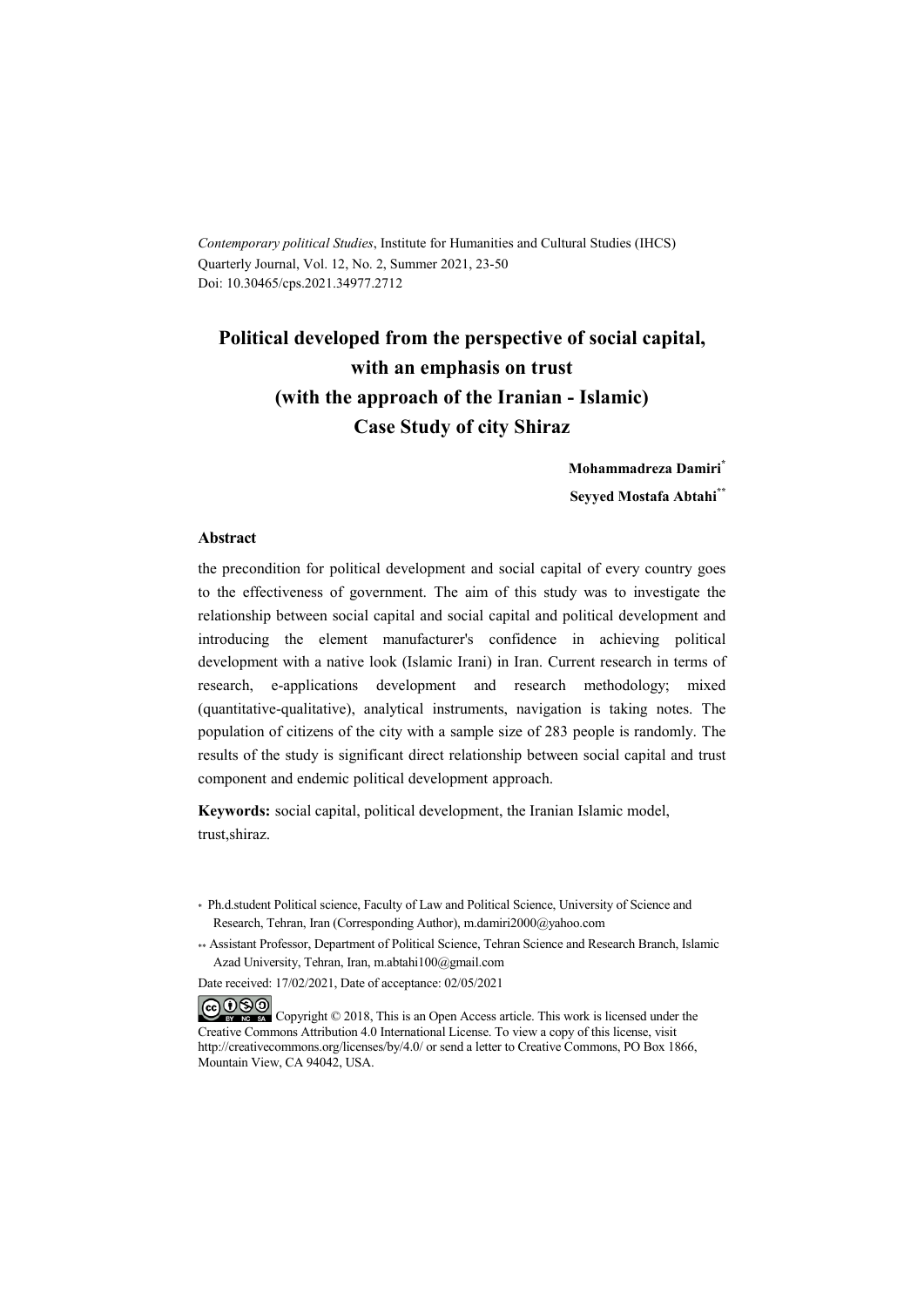*Contemporary political Studies*, Institute for Humanities and Cultural Studies (IHCS) Quarterly Journal, Vol. 12, No. 2, Summer 2021, 23-50 Doi: 10.30465/cps.2021.34977.2712

## **Political developed from the perspective of social capital, with an emphasis on trust (with the approach of the Iranian - Islamic) Case Study of city Shiraz**

**Mohammadreza Damiri\* Seyyed Mostafa Abtahi\*\***

#### **Abstract**

the precondition for political development and social capital of every country goes to the effectiveness of government. The aim of this study was to investigate the relationship between social capital and social capital and political development and introducing the element manufacturer's confidence in achieving political development with a native look (Islamic Irani) in Iran. Current research in terms of research, e-applications development and research methodology; mixed (quantitative-qualitative), analytical instruments, navigation is taking notes. The population of citizens of the city with a sample size of 283 people is randomly. The results of the study is significant direct relationship between social capital and trust component and endemic political development approach.

**Keywords:** social capital, political development, the Iranian Islamic model, trust,shiraz.

Date received: 17/02/2021, Date of acceptance: 02/05/2021

COOO Copyright © 2018, This is an Open Access article. This work is licensed under the Creative Commons Attribution 4.0 International License. To view a copy of this license, visit http://creativecommons.org/licenses/by/4.0/ or send a letter to Creative Commons, PO Box 1866, Mountain View, CA 94042, USA.

<sup>\*</sup> Ph.d.student Political science, Faculty of Law and Political Science, University of Science and Research, Tehran, Iran (Corresponding Author), m.damiri2000@yahoo.com

<sup>\*\*</sup> Assistant Professor, Department of Political Science, Tehran Science and Research Branch, Islamic Azad University, Tehran, Iran, m.abtahi100@gmail.com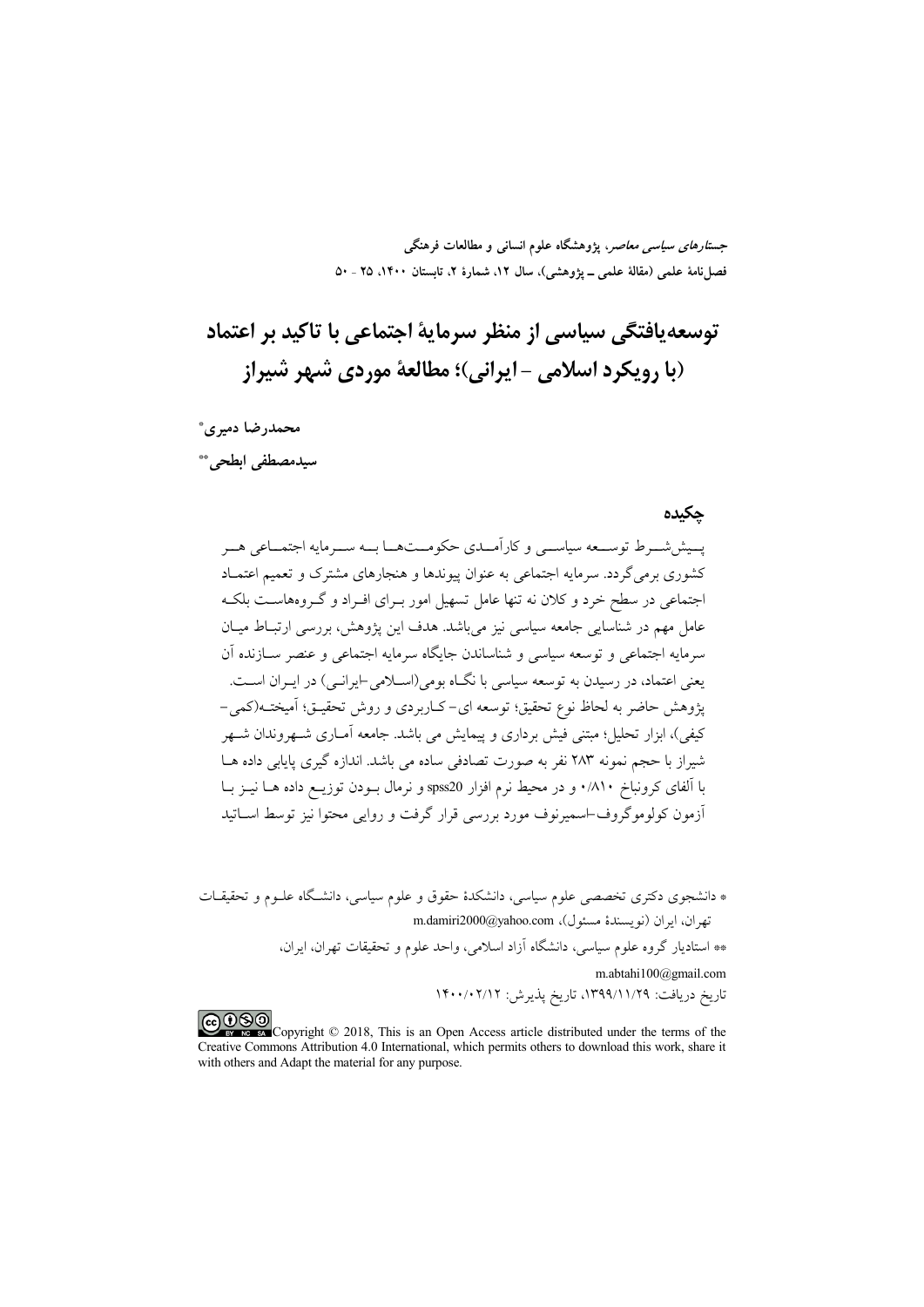*جستارهای سیاسی معاصر*، پژوهشگاه علوم انسانی و مطالعات فرهنگی فصلنامهٔ علمی (مقالهٔ علمی ــ پژوهشی)، سال ۱۲، شمارهٔ ۲، تابستان ۱۴۰۰، ۲۵ ـ ۵۰

# توسعه یافتگی سیاسی از منظر سرمایهٔ اجتماعی با تاکید بر اعتماد (با رویکرد اسلامی - ایرانی)؛ مطالعهٔ موردی شبهر شیراز

محمدرضا دميري\* سيدمصطفى ابطحى. \*\*

#### حكىدە

يسيش شسرط توسسعه سياسسي وكارأمسدي حكومست هسا بسه سسرمايه اجتمساعي هسر کشوری برمی گردد. سرمایه اجتماعی به عنوان پیوندها و هنجارهای مشترک و تعمیم اعتمـاد اجتماعی در سطح خرد و کلان نه تنها عامل تسهیل امور بـرای افـراد و گـروههاسـت بلکـه عامل مهم در شناسایی جامعه سیاسی نیز می باشد. هدف این یژوهش، بررسی ارتبـاط میـان سرمايه اجتماعي و توسعه سياسي و شناساندن جايگاه سرمايه اجتماعي و عنصر ســازنده آن یعنی اعتماد، در رسیدن به توسعه سیاسی با نگــاه بومی(اســلامی-ایرانــی) در ایــران اســت. يژوهش حاضر به لحاظ نوع تحقيق؛ توسعه اي-كـاربردي و روش تحقيــق؛ آميختــه(كمي-کیفی)، ابزار تحلیل؛ مبتنی فیش برداری و پیمایش می باشد. جامعه آمــاری شــهروندان شــهر شیراز یا حجم نمونه ۲۸۳ نفر به صورت تصادفی ساده می باشد. اندازه گیری پایایی داده هــا با آلفای کرونباخ ۸۱۰/۰ و در محیط نرم افزار spss20 و نرمال بــودن توزیــع داده هــا نیــز بــا أزمون كولوموگروف-اسميرنوف مورد بررسي قرار گرفت و روايي محتوا نيز توسط اســاتيد

\* دانشجوی دکتری تخصصی علوم سیاسی، دانشکدهٔ حقوق و علوم سیاسی، دانشگاه علـوم و تحقیقــات تهران، ايران (نويسندة مسئول)، m.damiri2000@yahoo.com \*\* استادیار گروه علوم سیاسی، دانشگاه آزاد اسلامی، واحد علوم و تحقیقات تهران، ایران، m.abtahi100@gmail.com تاريخ دريافت: ١٣٩٩/١١/٢٩٩، تاريخ پذيرش: ١۴٠٠/٠٢/١٢

COOO www.association Copyright © 2018, This is an Open Access article distributed under the terms of the Creative Commons Attribution 4.0 International, which permits others to download this work, share it with others and Adapt the material for any purpose.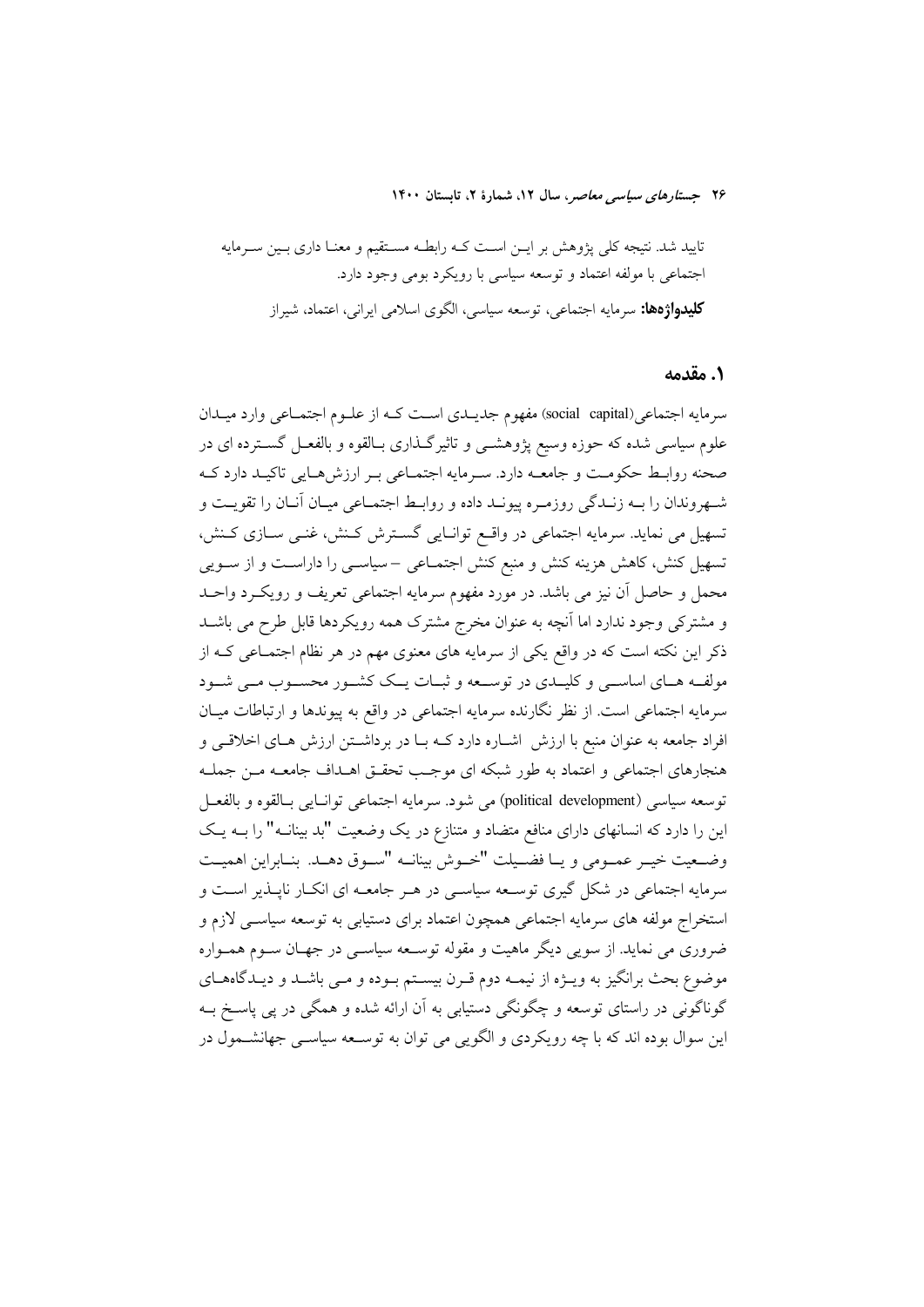تایید شد. نتیجه کلی پژوهش بر ایـن اسـت کـه رابطـه مسـتقیم و معنـا داری بـین سـرمایه اجتماعی با مولفه اعتماد و توسعه سیاسی با رویکرد بومی وجود دارد. **کلیدواژهها:** سرمایه اجتماعی، توسعه سیاسی، الگوی اسلامی ایرانی، اعتماد، شیراز

#### ١. مقدمه

سرمايه اجتماعي(social capital) مفهوم جديــدي اســت كــه از علــوم اجتمــاعـي وارد ميــدان علوم سیاسی شده که حوزه وسیع پژوهشـی و تاثیرگـذاری بـالقوه و بالفعـل گســترده ای در صحنه روابط حكومت و جامعـه دارد. سـرمايه اجتمـاعي بـر ارزشهـايي تاكيـد دارد كـه شـهروندان را بــه زنــدگي روزمــره پيونــد داده و روابـط اجتمــاعي ميــان آنــان را تقويــت و تسهیل می نماید. سرمایه اجتماعی در واقع توانـایی گسـترش کـنش، غنـی سـازی کـنش، تسهیل کنش، کاهش هزینه کنش و منبع کنش اجتمـاعی –سیاســی را داراسـت و از ســویی محمل و حاصل آن نیز می باشد. در مورد مفهوم سرمایه اجتماعی تعریف و رویک رد واحـد و مشترکی وجود ندارد اما آنچه به عنوان مخرج مشترک همه رویکردها قابل طرح می باشـد ذکر این نکته است که در واقع یکی از سرمایه های معنوی مهم در هر نظام اجتمـاعی کـه از مولف های اساسمی و کلیـدی در توسـعه و ثبـات یـک کشـور محسـوب مـی شـود سرمایه اجتماعی است. از نظر نگارنده سرمایه اجتماعی در واقع به پیوندها و ارتباطات میـان افراد جامعه به عنوان منبع با ارزش اشـاره دارد کــه بــا در برداشــتن ارزش هــاي اخلاقــي و هنجارهای اجتماعی و اعتماد به طور شبکه ای موجب تحقـق اهــداف جامعــه مــن جملــه توسعه سياسي (political development) مي شود. سرمايه اجتماعي توانـايي بـالقوه و بالفعـل این را دارد که انسانهای دارای منافع متضاد و متنازع در یک وضعیت "بد بینانــه" را بــه یــک وضعيت خيـر عمـومي ويـا فضـيلت "خـوش بينانــه "سـوق دهــد. بنــابراين اهميـت سرمایه اجتماعی در شکل گیری توسـعه سیاسـی در هـر جامعــه ای انکــار نایــذیر اســت و استخراج مولفه های سرمایه اجتماعی همچون اعتماد برای دستیابی به توسعه سیاسی لازم و ضروری می نماید. از سویی دیگر ماهیت و مقوله توسـعه سیاسـی در جهـان سـوم همـواره موضوع بحث برانگیز به ویــژه از نیمــه دوم قــرن بیســتم بــوده و مــی باشــد و دیــدگاههــای گوناگونی در راستای توسعه و چگونگی دستیابی به آن ارائه شده و همگی در پی پاسـخ بــه این سوال بوده اند که با چه رویکردی و الگویی می توان به توسعه سیاسـی جهانشـمول در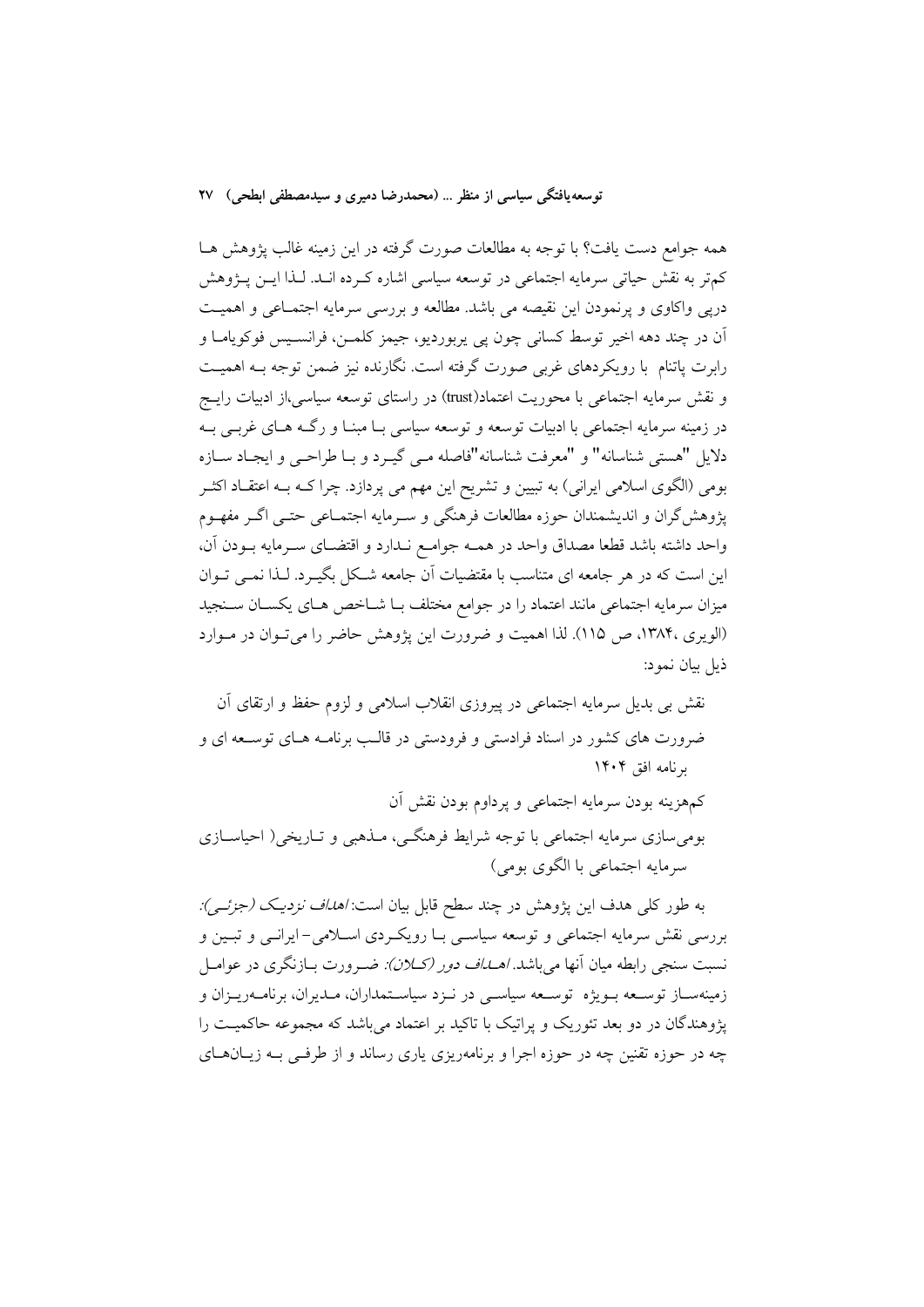همه جوامع دست یافت؟ با توجه به مطالعات صورت گرفته در این زمینه غالب پژوهش هـا کمتر به نقش حیاتی سرمایه اجتماعی در توسعه سیاسی اشاره کـرده انــد. لــذا ایـــن پـــژوهش دریی واکاوی و پرنمودن این نقیصه می باشد. مطالعه و بررسی سرمایه اجتمـاعی و اهمیـت آن در چند دهه اخير توسط كساني چون يې پربورديو، جيمز كلمــن، فرانســيس فوكوپامــا و رابرت پاتنام با رویکردهای غربی صورت گرفته است. نگارنده نیز ضمن توجه بـه اهمیـت و نقش سرمایه اجتماعی با محوریت اعتماد(trust) در راستای توسعه سیاسی،از ادبیات رایــج در زمینه سرمایه اجتماعی با ادبیات توسعه و توسعه سیاسی بـا مبنـا و رگــه هـای غربــی بــه دلايل "هستي شناسانه" و "معرفت شناسانه"فاصله مـي گيـرد و بـا طراحـي و ايجـاد سـازه بومی (الگوی اسلامی ایرانی) به تبیین و تشریح این مهم می پردازد. چرا کــه بــه اعتقــاد اکثــر یژوهش گران و اندیشمندان حوزه مطالعات فرهنگی و سـرمایه اجتمــاعی حتــی اگــر مفهــوم واحد داشته باشد قطعا مصداق واحد در همـه جوامـع نـدارد و اقتضـاى سـرمايه بـودن آن، این است که در هر جامعه ای متناسب با مقتضیات آن جامعه شـکل بگیـرد. لـذا نمـبی تـوان میزان سرمایه اجتماعی مانند اعتماد را در جوامع مختلف بـا شــاخص هــای یکســان ســنجید (الویری ،۱۳۸۴، ص ۱۱۵). لذا اهمیت و ضرورت این یژوهش حاضر را می تـوان در مـوارد ذيل بيان نمود:

نقش بی بدیل سرمایه اجتماعی در پیروزی انقلاب اسلامی و لزوم حفظ و ارتقای أن ضرورت های کشور در اسناد فرادستی و فرودستی در قالـب برنامـه هـای توســعه ای و برنامه افق ۱۴۰۴

كمهزينه بودن سرمايه اجتماعي و پرداوم بودن نقش أن بومیسازی سرمایه اجتماعی با توجه شرایط فرهنگـی، مــذهبی و تــاریخی( احیاســازی سرمايه اجتماعي با الگوي بومي)

به طور کلبی هدف این پژوهش در چند سطح قابل بیان است: *اهداف نزدیک (جزئــی):* بررسی نقش سرمایه اجتماعی و توسعه سیاسی بــا رویکــردی اســلامی- ایرانــی و تبــین و نسبت سنجی رابطه میان آنها میباشد *اهـلـاف دور (کـلان): ضـرورت بــازنگری در عوامــ*ل زمینهستاز توسیعه سویژه توسیعه سیاستی در نیزد سیاستمداران، میدیران، برنامیه ریبزان و یژوهندگان در دو بعد تئوریک و پراتیک با تاکید بر اعتماد میباشد که مجموعه حاکمیت را چه در حوزه تقنین چه در حوزه اجرا و برنامهریزی پاری رساند و از طرفـی بـه زیــانهــای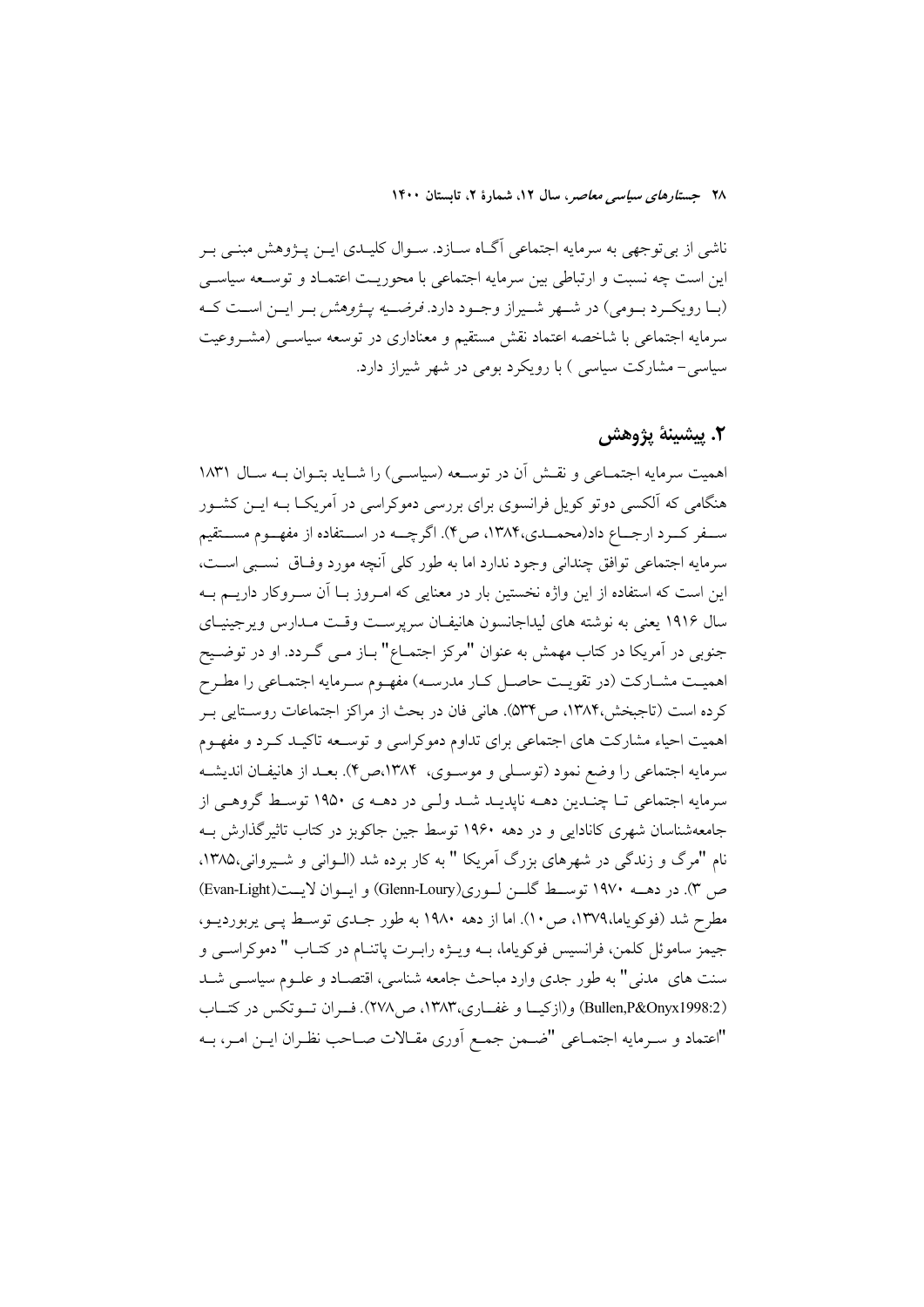ناشی از بی توجهی به سرمایه اجتماعی آگـاه ســازد. ســوال کلیــدی ایــن پــژوهش مبنــی بــر این است چه نسبت و ارتباطی بین سرمایه اجتماعی با محوریـت اعتمـاد و توسـعه سیاسـی (بـا رويكـرد بـومي) در شـهر شـيراز وجـود دارد. *فرضـيه پـژوهش* بـر ايـن اسـت كـه سرمایه اجتماعی با شاخصه اعتماد نقش مستقیم و معناداری در توسعه سیاســی (مشــروعیت سیاسی – مشارکت سیاسی ) با رویکرد بومی در شهر شیراز دارد.

## ٢. يشينة يژوهش

اهميت سرمايه اجتمــاعي و نقــش آن در توســعه (سياســي) را شــايد بتــوان بــه ســال ١٨٣١ هنگامی که آلکسی دوتو کویل فرانسوی برای بررسی دموکراسی در آمریکـا بــه ایــن کشــور سـفر كـرد ارجــاع داد(محمــدي،١٣٨۴، ص٣). اگرچــه در اســتفاده از مفهــوم مســتقيم سرمايه اجتماعي توافق چنداني وجود ندارد اما به طور كلي آنچه مورد وفياق نسببي است، این است که استفاده از این واژه نخستین بار در معنایی که امـروز بــا آن سـروکار داریــم بــه سال ۱۹۱۶ یعنی به نوشته های لیداجانسون هانیفان سرپرست وقت مدارس ویرجینیای جنوبی در آمریکا در کتاب مهمش به عنوان "مرکز اجتمــاع" بــاز مــی گــردد. او در توضــیح اهمیت مشـارکت (در تقویـت حاصـل کـار مدرسـه) مفهـوم سـرمایه اجتمـاعی را مطـرح كرده است (تاجبخش،۱۳۸۴، ص۵۳۴). هاني فان در بحث از مراكز اجتماعات روسـتايي بـر اهمیت احیاء مشارکت های اجتماعی برای تداوم دموکراسی و توسـعه تاکیـد کـرد و مفهـوم سرمايه اجتماعي را وضع نمود (توسـلي و موسـوي، ١٣٨۴،ص۴). بعـد از هانيفـان انديشـه سرمايه اجتماعي تـا چنـدين دهــه ناپديــد شــد ولــي در دهــه ي ١٩۵٠ توسـط گروهــي از جامعهشناسان شهری کانادایی و در دهه ۱۹۶۰ توسط جین جاکوبز در کتاب تاثیر گذارش بـه نام "مرگ و زندگی در شهرهای بزرگ آمریکا " به کار برده شد (الـوانی و شـیروانی،۱۳۸۵. ص ٣). در دهــه ١٩٧٠ توســط گلـــن لــوري(Glenn-Loury) و ايــوان لايــت(Evan-Light) مطرح شد (فوكوياما،١٣٧٩، ص ١٠). اما از دهه ١٩٨٠ به طور جـدي توسـط يـي يربورديــو، جيمز ساموئل كلمن، فرانسيس فوكوياما، بـه ويـژه رابـرت پاتنـام در كتـاب " دموكراسـي و سنت های ً مدنی" به طور جدی وارد مباحث جامعه شناسی، اقتصـاد و علــوم سیاســی شــد (Bullen,P&Onyx1998:2) و(ازکیـا و غفــاری،۱۳۸۳، ص۲۷۸). فـران تــوتکس در کتــاب "اعتماد و سـرمايه اجتمـاعي "ضـمن جمـع أورى مقـالات صـاحب نظـران ايـن امـر، بــه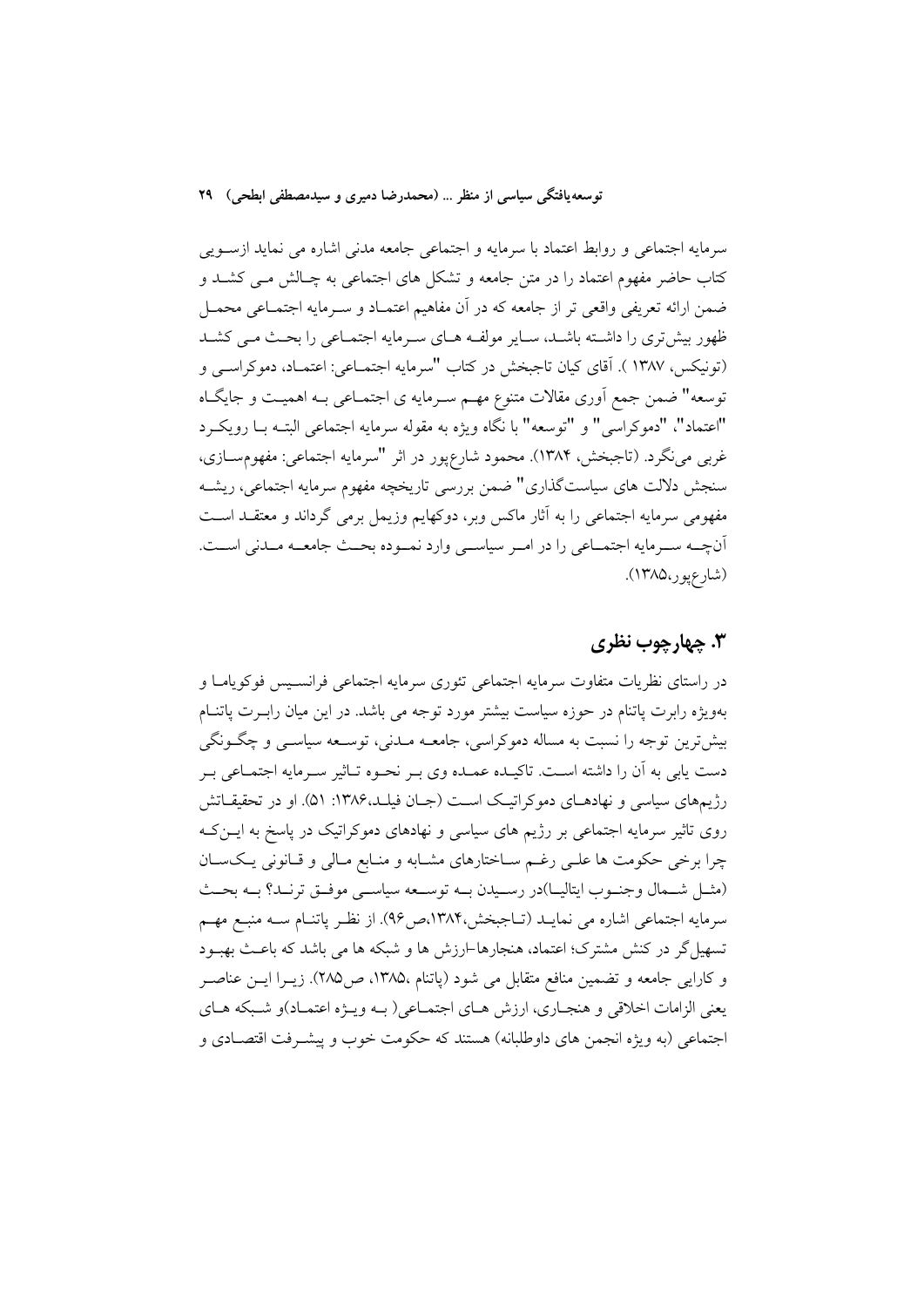سرمایه اجتماعی و روابط اعتماد با سرمایه و اجتماعی جامعه مدنی اشاره می نماید ازسـویی کتاب حاضر مفهوم اعتماد را در متن جامعه و تشکل های اجتماعی به چـالش مــی کشــد و ضمن ارائه تعریفی واقعی تر از جامعه که در آن مفاهیم اعتمـاد و سـرمایه اجتمـاعی محمـل ظهور بیش تری را داشته باشـد، سـایر مولفـه هـای سـرمایه اجتمـاعی را بحـث مـی کشـد (تونيكس، ١٣٨٧ ). آقاي كيان تاجبخش در كتاب "سرمايه اجتمــاعي: اعتمــاد، دموكراســي و توسعه" ضمن جمع اَوري مقالات متنوع مهـم سـرمايه ي اجتمـاعي بـه اهميـت و جايگـاه "اعتماد"، "دموكراسي" و "توسعه" با نگاه ويژه به مقوله سرمايه اجتماعي البتـه بـا رويكـرد غربی می نگرد. (تاجبخش، ۱۳۸۴). محمود شارع پور در اثر "سرمایه اجتماعی: مفهوم سازی، سنجش دلالت های سیاستگذاری" ضمن بررسی تاریخچه مفهوم سرمایه اجتماعی، ریشـه مفهومی سرمایه اجتماعی را به آثار ماکس ویر، دوکهایم وزیمل برمی گرداند و معتقــد اســت آنچــه ســرمايه اجتمــاعي را در امــر سياســي وارد نمــوده بحــث جامعــه مــدني اســت. (شارعيور،١٣٨٥).

### ۳. چهارچوب نظری

در راستای نظریات متفاوت سرمایه اجتماعی تئوری سرمایه اجتماعی فرانسـیس فوکویامـا و بهویژه رابرت پاتنام در حوزه سیاست بیشتر مورد توجه می باشد. در این میان راب رت پاتنـام بیش ترین توجه را نسبت به مساله دموکراسی، جامعــه مــدنی، توســعه سیاســی و چگــونگـی دست یابی به آن را داشته است. تاکیـده عمـده وی بـر نحـوه تـاثیر سـرمایه اجتمـاعی بـر رژیمهای سیاسی و نهادهـای دموکراتیـک اسـت (جـان فیلـد،۱۳۸۶: ۵۱). او در تحقیقـاتش روی تاثیر سرمایه اجتماعی بر رژیم های سیاسی و نهادهای دموکراتیک در پاسخ به ایــن ک چرا برخی حکومت ها علـی رغـم سـاختارهای مشـابه و منـابع مـالی و قـانونی یـکسـان (مشل شمال وجنوب ايتاليـا)در رسـيدن بـه توسـعه سياسـي موفـق ترنـد؟ بـه بحـث سرمايه اجتماعي اشاره مي نمايـد (تـاجبخش،١٣٨۴مص٩۶). از نظـر پاتنـام سـه منبـع مهـم تسهیل گر در کنش مشترک؛ اعتماد، هنجارها-ارزش ها و شبکه ها می باشد که باعث بهبـود و كارايي جامعه و تضمين منافع متقابل مي شود (ياتنام ١٣٨٥، ص٢٨٥). زيــرا ايــن عناصــر يعني الزامات اخلاقي و هنجـاري، ارزش هـاي اجتمـاعي( بـه ويـژه اعتمـاد)و شـبكه هـاي اجتماعي (به ويژه انجمن هاي داوطلبانه) هستند كه حكومت خوب و پيشـرفت اقتصــادي و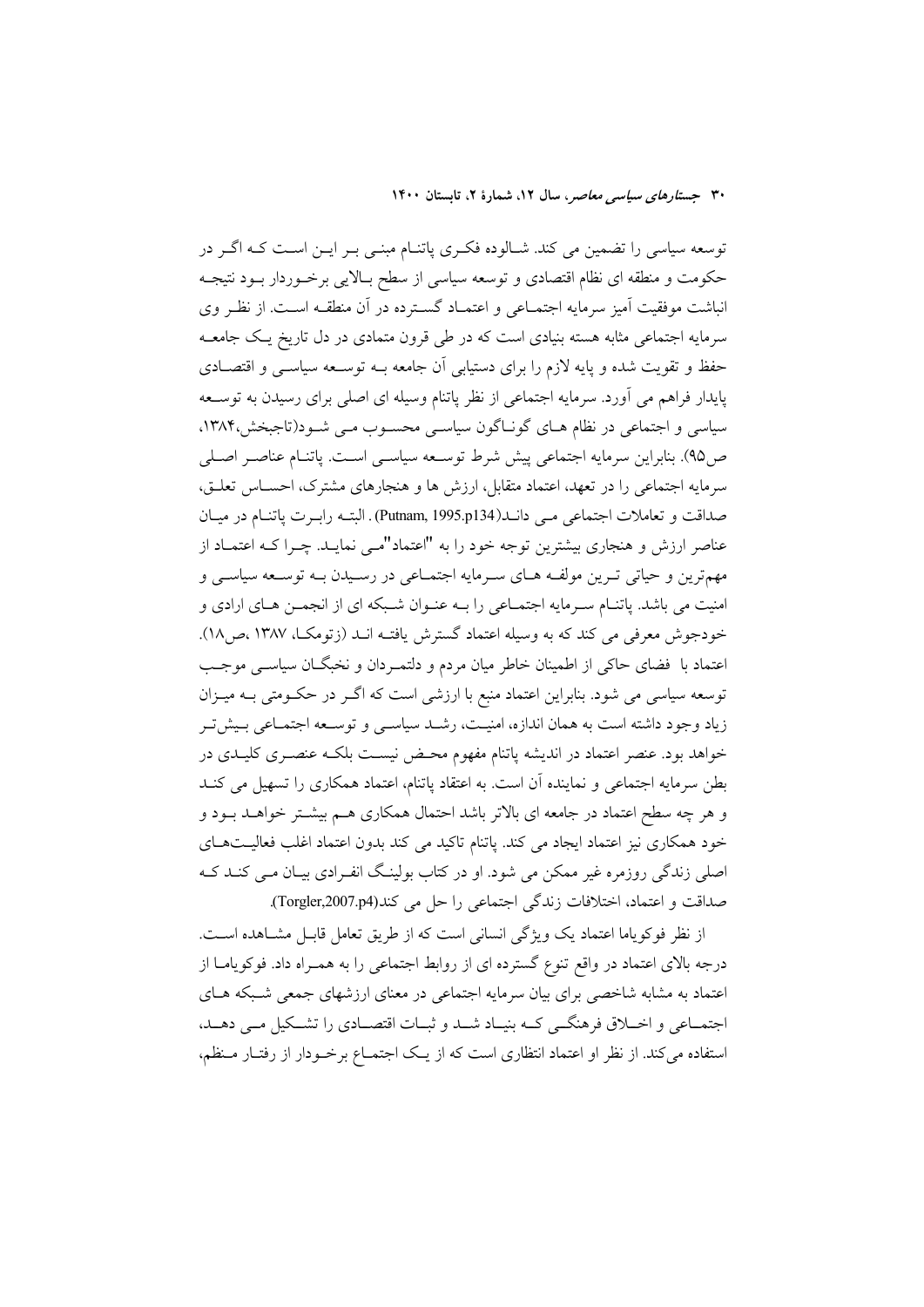توسعه سیاسی را تضمین می کند. شـالوده فکـری پاتنـام مبنـی بـر ایـن اسـت کـه اگـر در حکومت و منطقه ای نظام اقتصادی و توسعه سیاسی از سطح بـالایی برخــوردار بــود نتیجــه انباشت موفقیت آمیز سرمایه اجتمـاعی و اعتمـاد گسـترده در آن منطقـه اسـت. از نظـر وی سرمایه اجتماعی مثابه هسته بنیادی است که در طی قرون متمادی در دل تاریخ یک جامعـه حفظ و تقویت شده و پایه لازم را برای دستیابی آن جامعه بــه توســعه سیاســی و اقتصــادی پایدار فراهم می آورد. سرمایه اجتماعی از نظر پاتنام وسیله ای اصلی برای رسیدن به توســعه سیاسی و اجتماعی در نظام هـای گونـاگون سیاسـی محسـوب مـی شـود(تاجبخش،۱۳۸۴، ص۹۵). بنابراین سرمایه اجتماعی پیش شرط توسـعه سیاســی اســت. پاتنــام عناصــر اصــلی سرمایه اجتماعی را در تعهد، اعتماد متقابل، ارزش ها و هنجارهای مشترک، احسـاس تعلـق، صداقت و تعاملات اجتماعی مبی دانــد(Putnam, 1995.p134) . البتــه رابــرت پاتنــام در ميــان عناصر ارزش و هنجاری بیشترین توجه خود را به "اعتماد"می نمایـد. چـرا کـه اعتمـاد از .<br>مهم ترين و حياتي تـرين مولفـه هــاي ســرمايه اجتمــاعي در رســيدن بــه توســعه سياســي و امنیت می باشد. پاتنـام سـرمایه اجتمـاعی را بـه عنـوان شـبکه ای از انجمـن هـای ارادی و خودجوش معرفی می کند که به وسیله اعتماد گسترش یافتـه انــد (زتومکـا، ۱۳۸۷،ص۱۸). اعتماد با فضای حاکی از اطمینان خاطر میان مردم و دلتمـردان و نخبگـان سیاسـی موجـب توسعه سیاسی می شود. بنابراین اعتماد منبع با ارزشی است که اگـر در حکـومتی بــه میــزان زیاد وجود داشته است به همان اندازه، امنیـت، رشـد سیاســی و توســعه اجتمــاعی بــیش تــر خواهد بود. عنصر اعتماد در اندیشه پاتنام مفهوم محـض نیسـت بلکـه عنصـری کلیـدی در بطن سرمایه اجتماعی و نماینده آن است. به اعتقاد پاتنام، اعتماد همکاری را تسهیل می کنـد و هر چه سطح اعتماد در جامعه ای بالاتر باشد احتمال همکاری هـم بیشـتر خواهـد بـود و خود همکاری نیز اعتماد ایجاد می کند. پاتنام تاکید می کند بدون اعتماد اغلب فعالیتهای اصلی زندگی روزمره غیر ممکن می شود. او در کتاب بولینگ انفرادی بیـان مـی کنـد کـه صداقت و اعتماد، اختلافات زندگی اجتماعی را حل می کند(Torgler,2007.p4).

از نظر فوكوياما اعتماد يك ويژگى انسانى است كه از طريق تعامل قابـل مشــاهده اســت. درجه بالای اعتماد در واقع تنوع گسترده ای از روابط اجتماعی را به همـراه داد. فوکویامــا از اعتماد به مشابه شاخصی برای بیان سرمایه اجتماعی در معنای ارزشهای جمعی شبکه هـای اجتمــاعي و اخــلاق فرهنگــي كــه بنيــاد شــد و ثبــات اقتصــادي را تشــكيل مــي دهــد، استفاده می کند. از نظر او اعتماد انتظاری است که از یک اجتمـاع برخـودار از رفتـار مـنظم،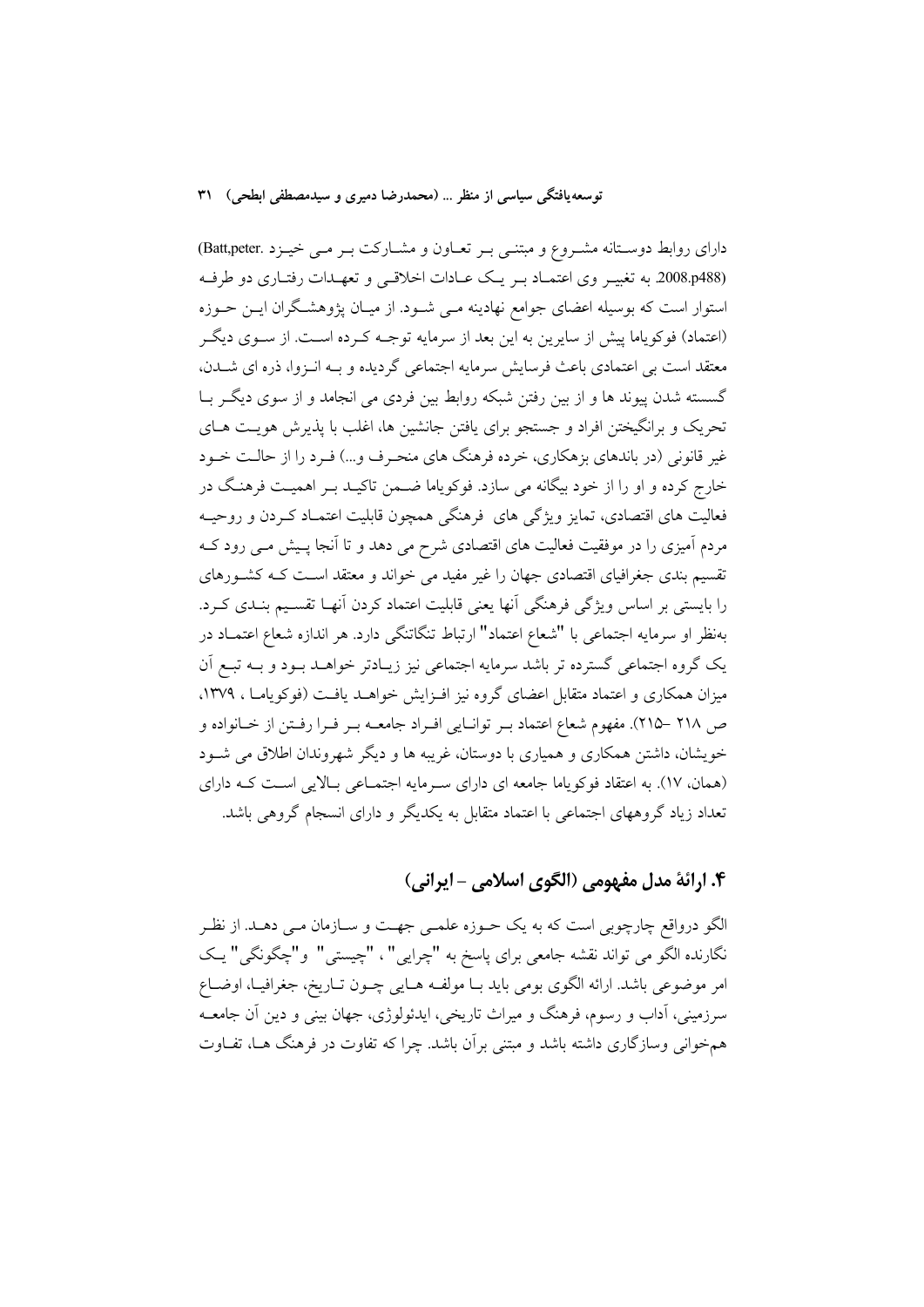دارای روابط دوستانه مشـروع و مبتنـی بـر تعـاون و مشـارکت بـر مـی خيـزد .Batt,peter) (2008.p488 به تغییر وی اعتمـاد بـر یـک عـادات اخلاقـی و تعهـدات رفتـاری دو طرفـه استوار است که بوسیله اعضای جوامع نهادینه مـی شـود. از میـان پژوهشـگران ایــن حــوزه (اعتماد) فوکویاما پیش از سایرین به این بعد از سرمایه توجـه کـرده اسـت. از سـوی دیگـر معتقد است بی اعتمادی باعث فرسایش سرمایه اجتماعی گردیده و بــه انــزوا، ذره ای شــدن، گسسته شدن پیوند ها و از بین رفتن شبکه روابط بین فردی می انجامد و از سوی دیگر بـا تحریک و برانگیختن افراد و جستجو برای یافتن جانشین ها، اغلب با پذیرش هویـت هـای غیر قانونی (در باندهای بزهکاری، خرده فرهنگ های منحـرف و…) فـرد را از حالـت خــود خارج کرده و او را از خود بیگانه می سازد. فوکویاما ضـمن تاکیـد بـر اهمیـت فرهنـگ در فعالیت های اقتصادی، تمایز ویژگی های ًفرهنگی همچون قابلیت اعتمـاد کـردن و روحیـه مردم آمیزی را در موفقیت فعالیت های اقتصادی شرح می دهد و تا آنجا پـیش مــی رود کــه تقسیم بندی جغرافیای اقتصادی جهان را غیر مفید می خواند و معتقد اسـت کـه کشـورهای را بایستی بر اساس ویژگی فرهنگی آنها یعنی قابلیت اعتماد کردن آنهـا تقسـیم بنـدی کـرد. بهنظر او سرمایه اجتماعی با "شعاع اعتماد" ارتباط تنگاتنگی دارد. هر اندازه شعاع اعتمــاد در یک گروه اجتماعی گسترده تر باشد سرمایه اجتماعی نیز زیـادتر خواهـد بـود و بـه تبـع آن میزان همکاری و اعتماد متقابل اعضای گروه نیز افـزایش خواهــد یافــت (فوکویامــا ، ۱۳۷۹. ص ٢١٨ –٢١٥). مفهوم شعاع اعتماد بـر توانـايي افـراد جامعــه بـر فـرا رفـتن از خــانواده و خویشان، داشتن همکاری و همیاری با دوستان، غریبه ها و دیگر شهروندان اطلاق می شـود (همان، ١٧). به اعتقاد فوكوياما جامعه اي داراي سرمايه اجتمـاعي بـالايي اسـت كـه داراي تعداد زیاد گروههای اجتماعی با اعتماد متقابل به یکدیگر و دارای انسجام گروهی باشد.

## ۴. ارائهٔ مدل مفهومی (الگوی اسلامی - ایرانی)

الگو درواقع چارچوبی است که به یک حـوزه علمـی جهـت و سـازمان مـی دهـد. از نظـر نگارنده الگو مي تواند نقشه جامعي براي پاسخ به "چرايي"، "چيستي" و"چگونگي" يـک امر موضوعي باشد. ارائه الگوي بومي بايد بــا مولفــه هــايي چــون تــاريخ، جغرافيــا، اوضــاع سرزمینی، آداب و رسوم، فرهنگ و میراث تاریخی، ایدئولوژی، جهان بینی و دین آن جامعــه همخوانی وسازگاری داشته باشد و مبتنی برأن باشد. چرا که تفاوت در فرهنگ هـا، تفـاوت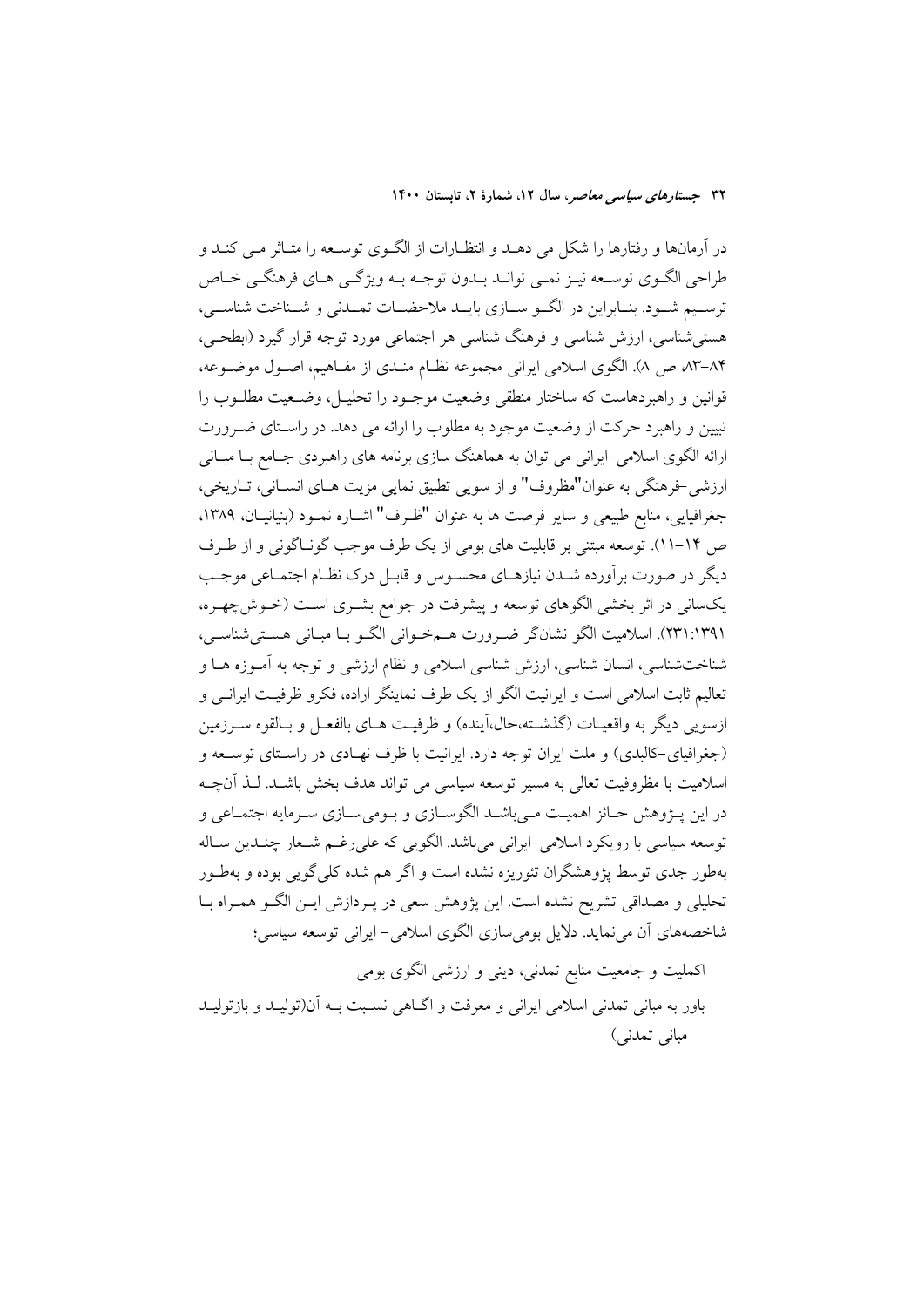در آرمانها و رفتارها را شکل می دهـد و انتظـارات از الگـوی توسـعه را متـاثر مـی کنـد و طراحي الگـوي توسـعه نيـز نمـي توانـد بـدون توجـه بـه ويژگـي هـاي فرهنگـي خـاص ترسـيم شـود. بنـابراين در الگــو ســازي بايــد ملاحضــات تمــدنى و شــناخت شناســي، هستي شناسي، ارزش شناسي و فرهنگ شناسي هر اجتماعي مورد توجه قرار گيرد (ابطحـي، ۸۴–۸۳ ص ۸). الگوی اسلامی ایرانی مجموعه نظـام منـدی از مفـاهیم، اصـول موضـوعه، قوانین و راهبردهاست که ساختار منطقی وضعیت موجـود را تحلیـل، وضـعیت مطلــوب را تبیین و راهبرد حرکت از وضعیت موجود به مطلوب را ارائه می دهد. در راستای ضـرورت ارائه الگوی اسلامی-ایرانی می توان به هماهنگ سازی برنامه های راهبردی جـامع بــا مبــانی ارزشي خرهنگي به عنوان"مظروف" و از سويي تطبيق نمايي مزيت هـاي انسـاني، تـاريخي، جغرافیایی، منابع طبیعی و سایر فرصت ها به عنوان "ظـرف" اشـاره نمــود (بنیانیــان، ۱۳۸۹، ص ۱۴–۱۱). توسعه مبتنی بر قابلیت های بومی از یک طرف موجب گونـاگونی و از طـرف دیگر در صورت برآورده شــدن نیازهــای محســوس و قابــل درک نظــام اجتمــاعی موجــب يکساني در اثر بخشي الگوهاي توسعه و پيشرفت در جوامع بشـري اسـت (خـوش-چهـره، (٢٣١:١٣٩١). اسلاميت الكو نشانكر ضرورت هـمخـواني الكـو بـا مبـاني هسـتي شناسـي، شناختشناسی، انسان شناسی، ارزش شناسی اسلامی و نظام ارزشی و توجه به آمـوزه هــا و تعالیم ثابت اسلامی است و ایرانیت الگو از یک طرف نماینگر اراده، فکرو ظرفیت ایرانبی و ازسویی دیگر به واقعیـات (گذشــته،حال،اَینده) و ظرفیــت هــای بالفعــل و بــالقوه ســرزمین (جغرافیای-کالبدی) و ملت ایران توجه دارد. ایرانیت با ظرف نهـادی در راسـتای توسـعه و اسلامیت با مظروفیت تعالی به مسیر توسعه سیاسی می تواند هدف بخش باشـد. لـذ آنچــه در اين پـــژوهش حــائز اهميــت مــي باشــد الگوســازي و بــومي ســازي ســرمايه اجتمــاعي و توسعه سیاسی با رویکرد اسلامی-ایرانی می باشد. الگویی که علی رغـم شـعار چنـدین سـاله بهطور جدی توسط یژوهشگران تئوریزه نشده است و اگر هم شده کلی گویی بوده و بهطـور تحلیلی و مصداقی تشریح نشده است. این پژوهش سعی در پـردازش ایـن الگـو همـراه بـا شاخصههای آن می نماید. دلایل بومی سازی الگوی اسلامی- ایرانی توسعه سیاسی؛

اکملیت و جامعیت منابع تمدنی، دینی و ارزشی الگوی بومی .<br>باور به مبانی تمدنی اسلامی ایرانی و معرفت و اگــاهی نسـبت بــه آن(تولیــد و بازتولیــد مبانی تمدنی)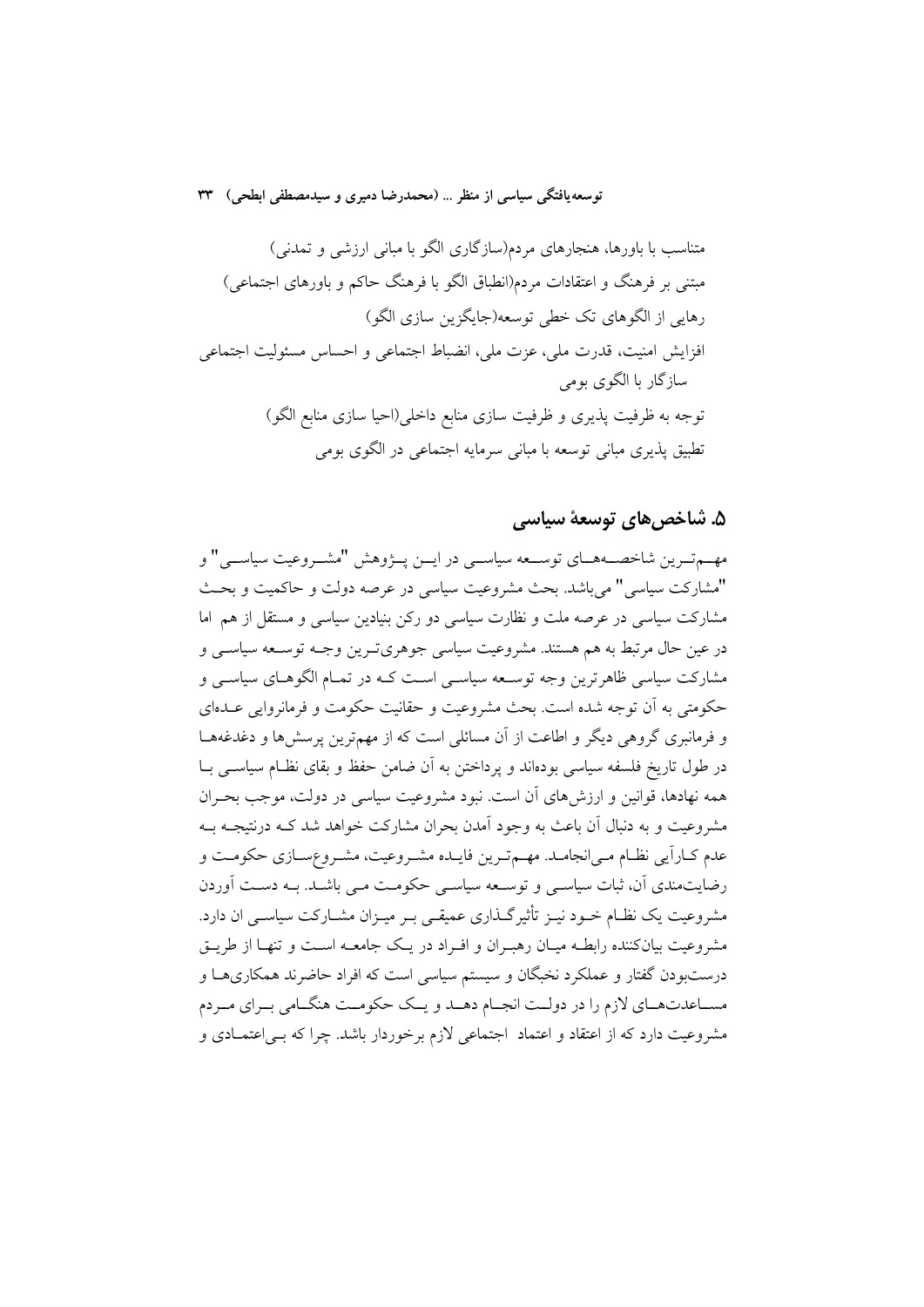متناسب با باورها، هنجارهای مردم(سازگاری الگو با مبانی ارزشی و تمدنی) مبتنی بر فرهنگ و اعتقادات مردم(انطباق الگو با فرهنگ حاکم و باورهای اجتماعی) رهایی از الگوهای تک خطی توسعه(جایگزین سازی الگو) افزايش امنيت، قدرت ملي، عزت ملي، انضباط اجتماعي و احساس مسئوليت اجتماعي سازگار با الگوي بومي توجه به ظرفیت پذیری و ظرفیت سازی منابع داخلی(احیا سازی منابع الگو) تطبیق پذیری مبانی توسعه با مبانی سرمایه اجتماعی در الگوی بومی

### ۵. شاخص های توسعهٔ سیاسی

مهـمقـرين شاخصـههـاي توسـعه سياســي در ايــن پــژوهش "مشــروعيت سياســـي" و "مشاركت سياسي" مي باشد. بحث مشروعيت سياسي در عرصه دولت و حاكميت و بحث مشارکت سیاسی در عرصه ملت و نظارت سیاسی دو رکن بنیادین سیاسی و مستقل از هم اما در عین حال مرتبط به هم هستند. مشروعیت سیاسی جوهریترین وجـه توسـعه سیاسـی و مشارکت سیاسی ظاهر ترین وجه توسـعه سیاسـی اسـت کـه در تمـام الگوهـای سیاسـی و حکومتی به آن توجه شده است. بحث مشروعیت و حقانیت حکومت و فرمانروایی عــدهای و فرمانبری گروهی دیگر و اطاعت از آن مسائلی است که از مهمترین پرسشها و دغدغههـا در طول تاریخ فلسفه سیاسی بودهاند و یرداختن به آن ضامن حفظ و بقای نظـام سیاســی بــا همه نهادها، قوانین و ارزش های آن است. نبود مشروعیت سیاسی در دولت، موجب بحـران مشروعیت و به دنبال آن باعث به وجود آمدن بحران مشارکت خواهد شد کـه درنتیجـه بـه عدم کــاراَیی نظــام مــی|نجامــد. مهــمتـرین فایــده مشــروعیت، مشــروعســازی حکومــت و رضایتمندی آن، ثبات سیاسبی و توسعه سیاسبی حکومت مبی باشـد. بـه دسـت آوردن مشروعیت یک نظـام خــود نیــز تأثیرگــذاری عمیقــی بــر میــزان مشــارکت سیاســی ان دارد. مشروعیت بیانکننده رابطـه میـان رهبـران و افـراد در یـک جامعـه اسـت و تنهـا از طریـق درستبودن گفتار و عملکرد نخبگان و سیستم سیاسی است که افراد حاضرند همکاریهــا و مســاعدتهــاي لازم را در دولــت انجــام دهــد و يــک حکومــت هنگــامي بــراي مــردم مشروعیت دارد که از اعتقاد و اعتماد اجتماعی لازم برخوردار باشد. چرا که بـی|عتمـادی و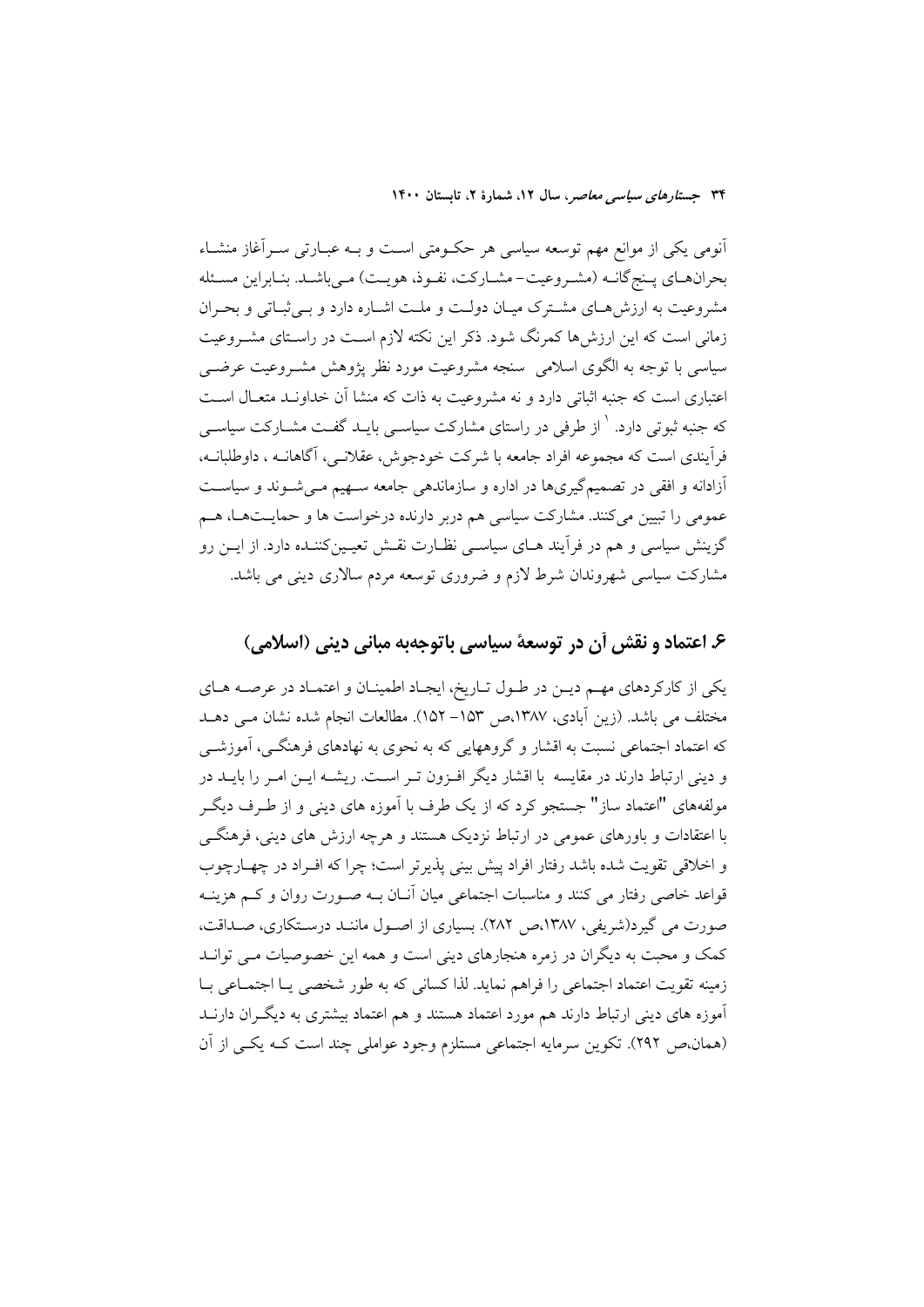آنومی یکی از موانع مهم توسعه سیاسی هر حکـومتی اسـت و بـه عبـارتی سـرآغاز منشـاء بحرانهـاي پـنج گانــه (مشـروعيت-مشـاركت، نفـوذ، هويـت) مـي باشــد. بنـابراين مسـئله مشروعیت به ارزش هـای مشـترک میـان دولـت و ملـت اشـاره دارد و بـی ثبـاتی و بحـران زمانی است که این ارزش ها کمرنگ شود. ذکر این نکته لازم است در راستای مشـروعیت سیاسی با توجه به الگوی اسلامی ً سنجه مشروعیت مورد نظر پژوهش مشـروعیت عرضــی اعتباری است که جنبه اثباتی دارد و نه مشروعیت به ذات که منشا آن خداونـد متعـال اسـت که جنبه ثبوتی دارد. <sup>۱</sup> از طرفی در راستای مشارکت سیاس<sub>حی</sub> بایــد گفــت مشــارکت سیاســی فرآیندی است که مجموعه افراد جامعه با شرکت خودجوش، عقلانـی، آگاهانــه ، داوطلبانــه، آزادانه و افقی در تصمیمگیریها در اداره و سازماندهی جامعه سـهیم مـیشـوند و سیاسـت عمومی را تبیین میکنند. مشارکت سیاسی هم دربر دارنده درخواست ها و حمایــتهــا، هــم گزینش سیاسی و هم در فرآیند هــای سیاســی نظــارت نقــش تعیــینکننــده دارد. از ایــن رو مشارکت سیاسی شهروندان شرط لازم و ضروری توسعه مردم سالاری دینی می باشد.

### ۶. اعتماد و نقش أن در توسعهٔ سیاسی باتوجهبه مبانی دینی (اسلامی)

یکی از کارکردهای مهم دیـن در طـول تـاریخ، ایجـاد اطمینـان و اعتمـاد در عرصـه هـای مختلف می باشد. (زین آبادی، ۱۳۸۷،ص ۱۵۳– ۱۵۲). مطالعات انجام شده نشان مـی دهـد که اعتماد اجتماعی نسبت به اقشار و گروههایی که به نحوی به نهادهای فرهنگـی، آموزشــی و دینی ارتباط دارند در مقایسه با اقشار دیگر افـزون تـر اسـت. ریشــه ایــن امـر را بایــد در مولفههای "اعتماد ساز" جستجو کرد که از یک طرف با آموزه های دینی و از طـرف دیگـر با اعتقادات و باورهای عمومی در ارتباط نزدیک هستند و هرچه ارزش های دینی، فرهنگــی و اخلاقی تقویت شده باشد رفتار افراد پیش بینی پذیرتر است؛ چرا که افـراد در چهـارچوب قواعد خاصی رفتار می کنند و مناسبات اجتماعی میان آنــان بــه صــورت روان و کــم هزینــه صورت می گیرد(شریفی، ۱۳۸۷،ص ۲۸۲). بسیاری از اصـول ماننـد درسـتکاری، صـداقت، کمک و محبت به دیگران در زمره هنجارهای دینی است و همه این خصوصیات مـی توانـد زمینه تقویت اعتماد اجتماعی را فراهم نماید. لذا کسانی که به طور شخصی یـا اجتمـاعی بـا .<br>آموزه های دینی ارتباط دارند هم مورد اعتماد هستند و هم اعتماد بیشتری به دیگـران دارنــد (همان،ص ٢٩٢). تكوين سرمايه اجتماعي مستلزم وجود عواملي چند است كـه يكـي از آن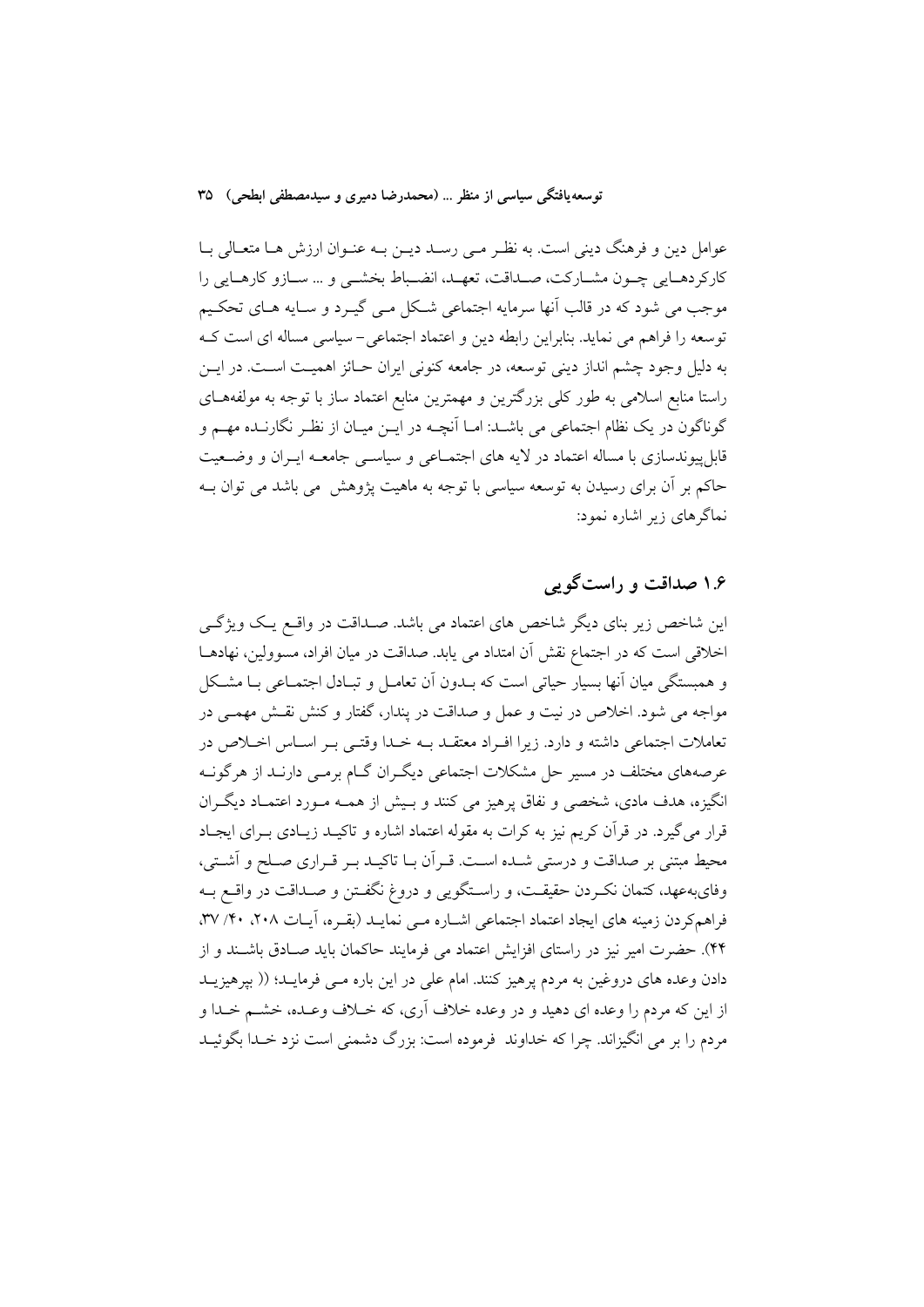عوامل دین و فرهنگ دینی است. به نظـر مـی رسـد دیـن بـه عنـوان ارزش هـا متعـالی بـا كاركردهـايي چـون مشـاركت، صـداقت، تعهـد، انضـباط بخشـي و … سـازو كارهـايي را موجب می شود که در قالب آنها سرمایه اجتماعی شکل مـی گیــرد و سـایه هــای تحکــیم توسعه را فراهم می نماید. بنابراین رابطه دین و اعتماد اجتماعی-سیاسی مساله ای است ک به دلیل وجود چشم انداز دینی توسعه، در جامعه کنونی ایران حــائز اهمیــت اســت. در ایــن راستا منابع اسلامی به طور کلی بزرگترین و مهمترین منابع اعتماد ساز با توجه به مولفههـای گوناگون در یک نظام اجتماعی می باشـد: امـا آنچــه در ایــن میــان از نظـر نگارنــده مهــم و .<br>قابل پیوندسازی با مساله اعتماد در لایه های اجتمــاعی و سیاســی جامعــه ایــران و وضــعیت حاکم بر آن برای رسیدن به توسعه سیاسی با توجه به ماهیت پژوهش می باشد می توان بــه نماگرهای زیر اشاره نمود:

### ۱.۶ صداقت و راست گویی

این شاخص زیر بنای دیگر شاخص های اعتماد می باشد. صـداقت در واقــع یـک ویژگــی اخلاقی است که در اجتماع نقش آن امتداد می پابد. صداقت در میان افراد، مسوولین، نهادهـا و همبستگی میان آنها بسیار حیاتی است که بـدون آن تعامـل و تبـادل اجتمـاعی بـا مشـکل مواجه می شود. اخلاص در نیت و عمل و صداقت در پندار، گفتار و کنش نقـش مهمـی در تعاملات اجتماعی داشته و دارد. زیرا افـراد معتقــد بــه خــدا وقتــی بــر اســاس اخــلاص در عرصههای مختلف در مسیر حل مشکلات اجتماعی دیگـران گــام برمــی دارنــد از هرگونــه انگیزه، هدف مادی، شخصی و نفاق پرهیز می کنند و بسش از همـه مـورد اعتمـاد دیگـران قرار می گیرد. در قرآن کریم نیز به کرات به مقوله اعتماد اشاره و تاکیـد زیـادی بــرای ایجـاد محیط مبتنی بر صداقت و درستی شـده اسـت. قـرأن بـا تاکیـد بـر قـراری صـلح و أشـتی، وفاي بهءهد، كتمان نكبردن حقيقت، و راسـتگويي و دروغ نگفـتن و صـداقت در واقــع بــه فراهم کردن زمینه های ایجاد اعتماد اجتماعی اشباره مبی نمایـد (بقـره، آیـات ۲۰۸، ۳۰/ ۳۷، ۴۴). حضرت امیر نیز در راستای افزایش اعتماد می فرمایند حاکمان باید صـادق باشـند و از دادن وعده های دروغین به مردم پرهیز کنند. امام علی در این باره مــی فرمایــد؛ (( بیرهیزیــد از این که مردم را وعده ای دهید و در وعده خلاف آری، که خــلاف وعــده، خشـــم خــدا و مردم را بر می انگیزاند. چرا که خداوند فرموده است: بزرگ دشمنی است نزد خـدا بگوئیــد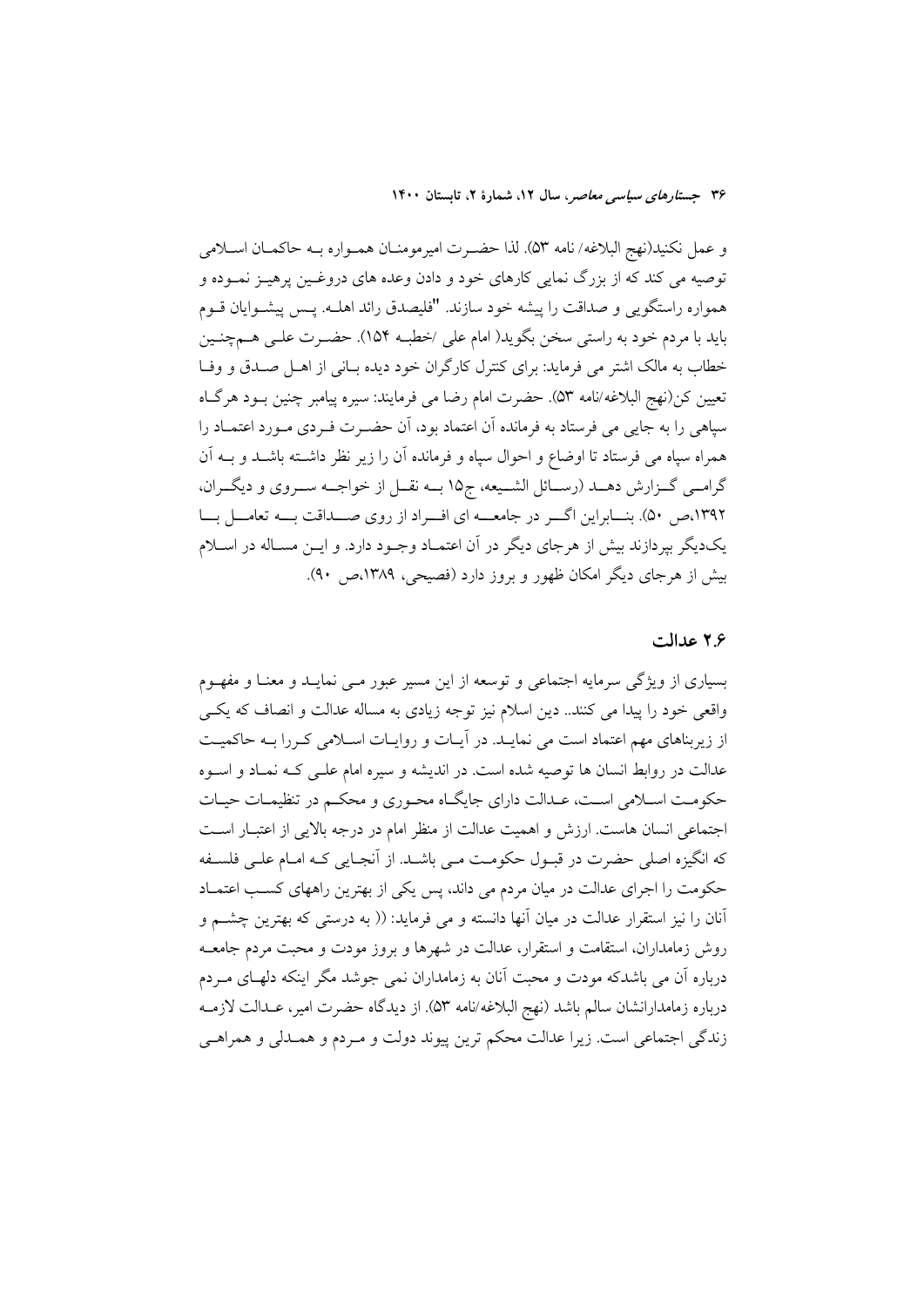و عمل نكنيد(نهج البلاغه/ نامه ۵۳). لذا حضـرت اميرمومنــان همــواره بــه حاكمــان اســلامي توصیه می کند که از بزرگ نمایی کارهای خود و دادن وعده های دروغـین پرهیـز نمـوده و همواره راستگویی و صداقت را پیشه خود سازند. "فلیصدق رائد اهلـه. پــس پیشــوایان قــوم باید با مردم خود به راستی سخن بگوید( امام علی /خطبه ۱۵۴). حضـرت علـی هــمچنـین خطاب به مالک اشتر می فرماید: برای کنترل کارگران خود دیده بـانی از اهـل صـدق و وفـا تعيين كن(نهج البلاغه/نامه ۵۳). حضرت امام رضا مي فرمايند: سيره پيامبر چنين بـود هرگـاه سپاهی را به جایی می فرستاد به فرمانده آن اعتماد بود، آن حضـرت فـردی مـورد اعتمــاد را همراه سپاه می فرستاد تا اوضاع و احوال سپاه و فرمانده آن را زیر نظر داشته باشـد و بــه آن گرامـبي گــزارش دهــد (رســائل الشــيعه، ج١٥ بــه نقــل از خواجــه ســروي و ديگــران، ۱۳۹۲،ص ۵۰). بنسابراین اگسر در جامعه ای افسراد از روی صلداقت بسه تعامل بسا یکدیگر بیردازند بیش از هرجای دیگر در آن اعتمـاد وجـود دارد. و ایــن مسـاله در اســلام بیش از هرجای دیگر امکان ظهور و بروز دارد (فصیحی، ۱۳۸۹،ص ۹۰).

#### ۲۶ عدالت

بسیاری از ویژگی سرمایه اجتماعی و توسعه از این مسیر عبور مـی نمایــد و معنــا و مفهــوم واقعی خود را پیدا می کنند.. دین اسلام نیز توجه زیادی به مساله عدالت و انصاف که یکبی از زیربناهای مهم اعتماد است می نمایـد. در آیـات و روایـات اسـلامی کـررا بـه حاکمیـت عدالت در روابط انسان ها توصیه شده است. در اندیشه و سیره امام علـی کـه نمـاد و اسـوه حکومت اسـلامی اسـت، عـدالت دارای جایگـاه محـوری و محکـم در تنظیمـات حیـات اجتماعی انسان هاست. ارزش و اهمیت عدالت از منظر امام در درجه بالایی از اعتبـار اسـت که انگیزه اصلی حضرت در قبـول حکومـت مـی باشـد. از آنجـایی کـه امـام علـی فلسـفه حکومت را اجرای عدالت در میان مردم می داند، پس یکی از بهترین راههای کسب اعتمـاد آنان را نیز استقرار عدالت در میان آنها دانسته و می فرماید: (( به درستی که بهترین چشــم و روش زمامداران، استقامت و استقرار، عدالت در شهرها و بروز مودت و محبت مردم جامعــه درباره آن می باشدکه مودت و محبت آنان به زمامداران نمی جوشد مگر اینکه دلهـای مـردم درباره زمامدارانشان سالم باشد (نهج البلاغه/نامه ٥٣). از ديدگاه حضرت امير، عــدالت لازمــه زندگی اجتماعی است. زیرا عدالت محکم ترین پیوند دولت و مـردم و همـدلی و همراهـی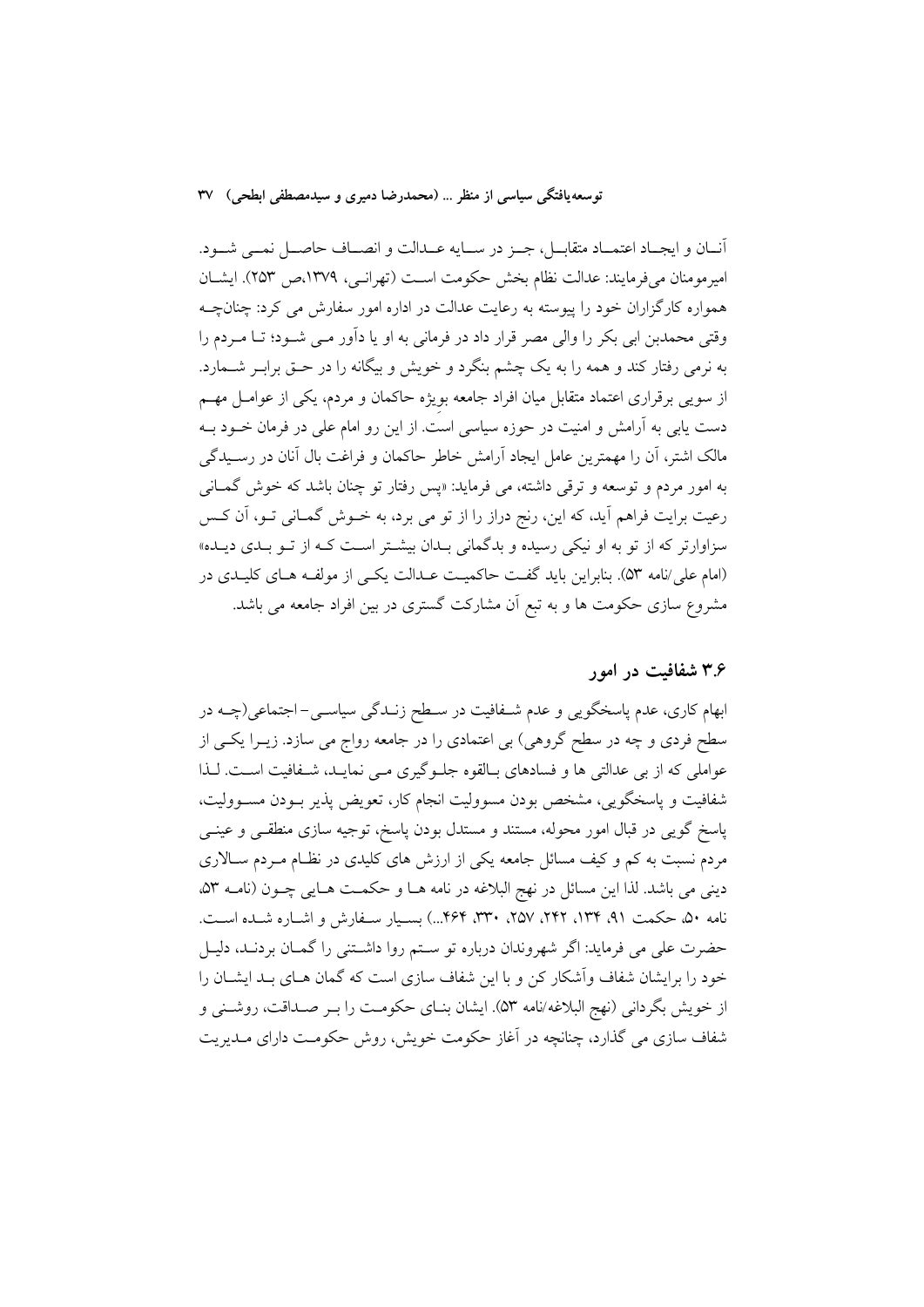آنــان و ايجــاد اعتمــاد متقابــل، جــز در ســايه عــدالت و انصــاف حاصــل نمــي شــود. امير مومنان مي فرمايند: عدالت نظام بخش حكومت است (تهرانسي، ١٣٧٩،ص ٢٥٣). ايشــان همواره کارگزاران خود را پیوسته به رعایت عدالت در اداره امور سفارش می کرد: چنانچـه وقتی محمدبن ابی بکر را والی مصر قرار داد در فرمانی به او یا داَور مـی شـود؛ تـا مـردم را به نرمی رفتار کند و همه را به یک چشم بنگرد و خویش و بیگانه را در حـق برابـر شــمارد. از سویی برقراری اعتماد متقابل میان افراد جامعه بویژه حاکمان و مردم، یکی از عوامـل مهـم دست یابی به آرامش و امنیت در حوزه سیاسی است. از این رو امام علی در فرمان خــود بــه مالک اشتر، آن را مهمترین عامل ایجاد آرامش خاطر حاکمان و فراغت بال آنان در رسـیدگی به امور مردم و توسعه و ترقی داشته، می فرماید: «پس رفتار تو چنان باشد که خوش گمـانی رعیت برایت فراهم آید، که این، رنج دراز را از تو می برد، به خــوش گمــانی تــو، آن کــس سزاوارتر که از تو به او نیک<sub>ی</sub> رسیده و بدگمان<sub>ی</sub> بـدان بیشـتر اسـت کـه از تـو بـدی دیـده» (امام علي/نامه ٥٣). بنابراين بايد گفت حاكميت عــدالت يكــي از مولفــه هــاي كليــدي در مشروع سازی حکومت ها و به تبع آن مشارکت گستری در بین افراد جامعه می باشد.

#### ۳.۶ شفافیت در امور

ابهام کاری، عدم پاسخگویی و عدم شـفافیت در سـطح زنــدگی سیاســی–اجتماعی(چــه در سطح فردی و چه در سطح گروهی) بی اعتمادی را در جامعه رواج می سازد. زیــرا یکــی از عواملی که از بی عدالتی ها و فسادهای بـالقوه جلـوگیری مـی نمایـد، شـفافیت اسـت. لـذا شفافیت و پاسخگویی، مشخص بودن مسوولیت انجام کار، تعویض پذیر بـودن مسـوولیت، پاسخ گویی در قبال امور محوله، مستند و مستدل بودن پاسخ، توجیه سازی منطقـی و عینـی مردم نسبت به کم و کیف مسائل جامعه یکی از ارزش های کلیدی در نظـام مـردم سـالاری دینی می باشد. لذا این مسائل در نهج البلاغه در نامه هـا و حکمـت هـایی چـون (نامـه ۵۳، نامه ۵۰ حکمت ۹۱، ۱۳۴، ۲۴۲، ۲۵۷، ۳۳۰، ۴۶۴...) بسیار سهفارش و اشباره شبده است. حضرت علی می فرماید: اگر شهروندان درباره تو سـتم روا داشـتنی را گمـان بردنــد، دليـل خود را برایشان شفاف وآشکار کن و با این شفاف سازی است که گمان هـای بـد ایشــان را از خويش بگرداني (نهج البلاغه/نامه ۵۳). ايشان بنـاي حكومـت را بـر صـداقت، روشـني و شفاف سازی می گذارد، چنانچه در آغاز حکومت خویش، روش حکومت دارای مـدیریت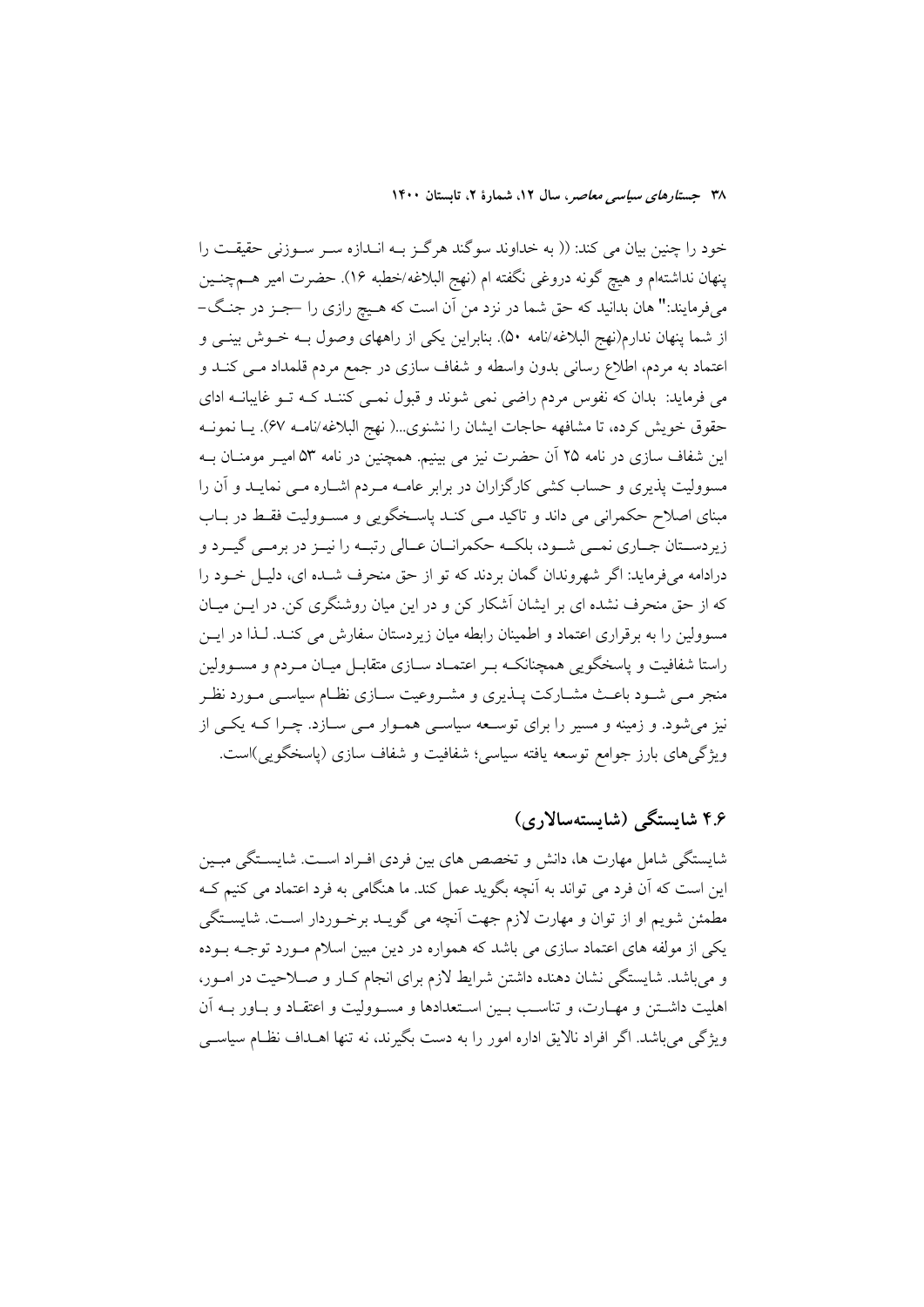خود را چنین بیان می کند: (( به خداوند سوگند هرگـز بـه انــدازه سـر ســوزنی حقیقــت را پنهان نداشتهام و هيچ گونه دروغي نگفته ام (نهج البلاغه/خطبه ۱۶). حضرت امير هــمچنــين میفرمایند:" هان بدانید که حق شما در نزد من آن است که هـیچ رازی را حجـز در جنـگ-از شما پنهان ندارم(نهج البلاغه/نامه ۵۰). بنابراین یکی از راههای وصول بـه خــوش بینــی و اعتماد به مردم، اطلاع رسانی بدون واسطه و شفاف سازی در جمع مردم قلمداد مـی کنــد و می فرماید: بدان که نفوس مردم راضی نمی شوند و قبول نمـی کننـد کـه تـو غایبانـه ادای حقوق خويش كرده، تا مشافهه حاجات ايشان را نشنوى...( نهج البلاغه/نامـه 6۷). يــا نمونــه این شفاف سازی در نامه ۲۵ آن حضرت نیز می بینیم. همچنین در نامه ۵۳ امیـر مومنــان بــه مسوولیت پذیری و حساب کشی کارگزاران در برابر عامـه مـردم اشـاره مـی نمایــد و آن را مبنای اصلاح حکمرانی می داند و تاکید مـی کنـد پاسـخگویی و مسـوولیت فقـط در بــاب زیردستان جـاري نمـي شـود، بلكـه حكمرانـان عـالي رتبـه را نيـز در برمـي گيـرد و درادامه میفرماید: اگر شهروندان گمان بردند که تو از حق منحرف شــده ای، دلیــل خــود را که از حق منحرف نشده ای بر ایشان آشکار کن و در این میان روشنگری کن در ایــن میــان مسوولین را به برقراری اعتماد و اطمینان رابطه میان زیردستان سفارش می کنـد. لـذا در ایــن راستا شفافیت و پاسخگویی همچنانکـه بـر اعتمـاد ســازی متقابــل میــان مــردم و مســوولین منجر مبی شـود باعـث مشــارکت پــذیری و مشــروعیت ســازی نظــام سیاســی مــورد نظــر نیز می شود. و زمینه و مسیر را برای توسـعه سیاسـی همـوار مـی سـازد. چـرا کـه یکـی از ویژگیهای بارز جوامع توسعه یافته سیاسی؛ شفافیت و شفاف سازی (پاسخگویی)است.

## ۴.۶ شايستگى (شايستەسالارى)

شایستگی شامل مهارت ها، دانش و تخصص های بین فردی افـراد اسـت. شایسـتگی مبـین این است که آن فرد می تواند به آنچه بگوید عمل کند. ما هنگامی به فرد اعتماد می کنیم کـه مطمئن شویم او از توان و مهارت لازم جهت اَنچه می گویـد برخـوردار اسـت. شایســتگی یکی از مولفه های اعتماد سازی می باشد که همواره در دین مبین اسلام مـورد توجـه بـوده و می باشد. شایستگی نشان دهنده داشتن شرایط لازم برای انجام کبار و صبلاحیت در امبور، اهليت داشــتن و مهــارت، و تناســب بــين اســتعدادها و مســووليت و اعتقــاد و بــاور بــه آن ویژگی می باشد. اگر افراد نالایق اداره امور را به دست بگیرند، نه تنها اهــداف نظــام سیاســی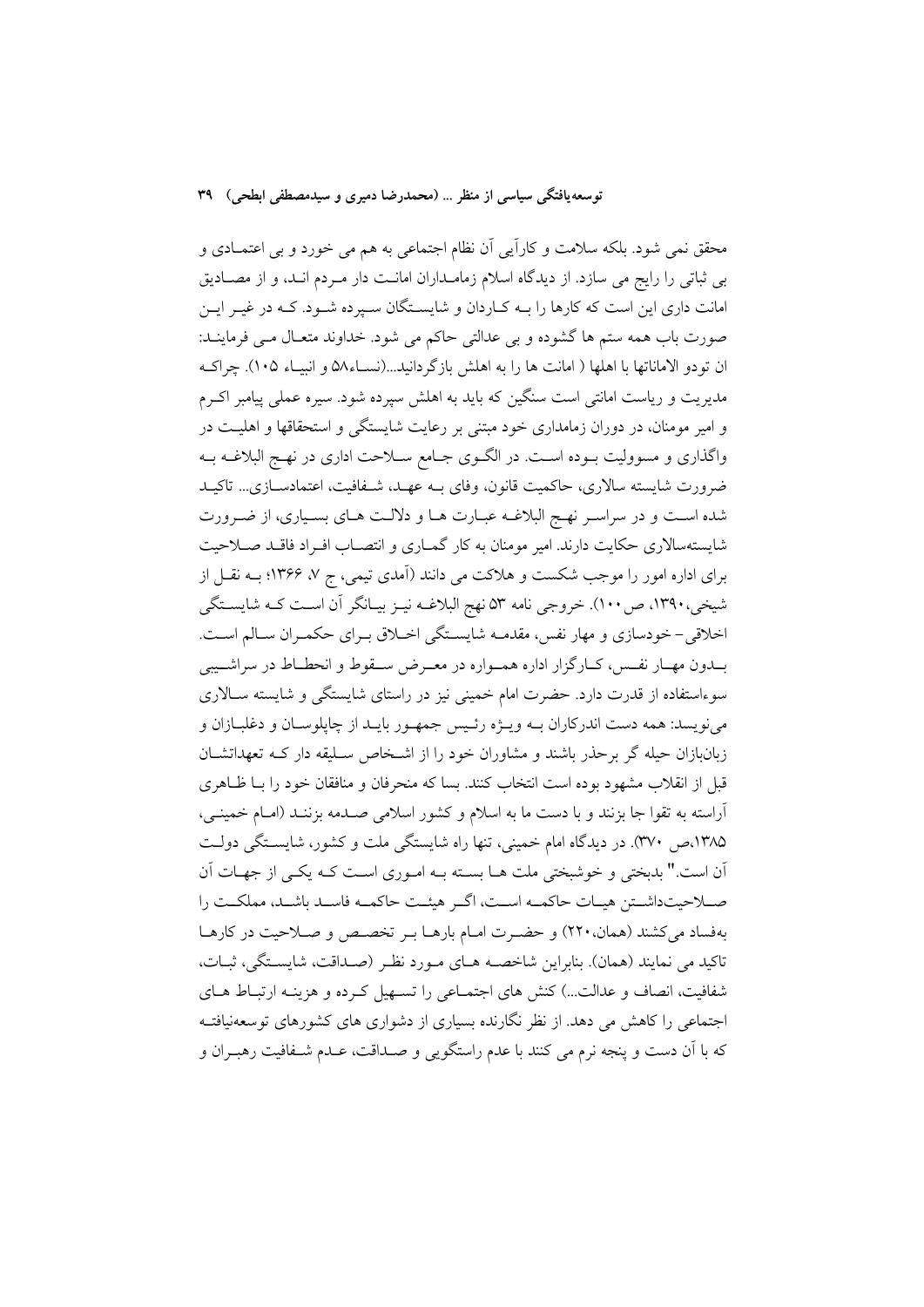محقق نمی شود. بلکه سلامت و کاراًیی اَن نظام اجتماعی به هم می خورد و بی اعتمــادی و بی ثباتی را رایج می سازد. از دیدگاه اسلام زمامـداران امانـت دار مـردم انـد، و از مصـادیق امانت داری این است که کارها را بـه کـاردان و شایسـتگان سـپرده شـود. کـه در غیـر ایـن صورت باب همه ستم ها گشوده و بی عدالتی حاکم می شود. خداوند متعـال مــی فرماینــد: ان تودو الاماناتها با اهلها ( امانت ها را به اهلش بازگر دانید...(نســاء۵۸ و انبیــاء ۱۰۵). چراکــه مدیریت و ریاست امانتی است سنگین که باید به اهلش سیرده شود. سیره عملی پیامبر اکـرم و امیر مومنان، در دوران زمامداری خود مبتنی بر رعایت شایستگی و استحقاقها و اهلیـت در واگذاری و مسوولیت بـوده اسـت. در الگــوی جــامع ســلاحت اداری در نهــج البلاغــه بــه ضرورت شايسته سالاري، حاكميت قانون، وفاي بــه عهــد، شــفافيت، اعتمادســازي... تاكيــد شده است و در سراسـر نهـج البلاغـه عبـارت هـا و دلالـت هـاي بسـياري، از ضـرورت شایستهسالاری حکایت دارند. امیر مومنان به کار گمـاری و انتصـاب افـراد فاقـد صـلاحیت برای اداره امور را موجب شکست و هلاکت می دانند (آمدی تیمی، ج ۷، ۱۳۶۶؛ بـه نقــل از شیخی، ۱۳۹۰، ص ۱۰۰). خروجی نامه ۵۳ نهج البلاغـه نیـز بیـانگر آن اسـت کـه شایسـتگی اخلاقی- خودسازی و مهار نفس، مقدمـه شایسـتگی اخـلاق بـرای حکمـران سـالم اسـت. بــدون مهــار نفــس، كــارگزار اداره همــواره در معــرض ســقوط و انحطــاط در سراشــيبي سوءاستفاده از قدرت دارد. حضرت امام خمینی نیز در راستای شایستگی و شایسته سـالاری مي نويسد: همه دست اندركاران بــه ويـــژه رئــيس جمهــور بايــد از چايلوســان و دغلبــازان و زبانبازان حیله گر برحذر باشند و مشاوران خود را از اشخاص سـلیقه دار کـه تعهداتشـان قبل از انقلاب مشهود بوده است انتخاب کنند. بسا که منحرفان و منافقان خود را بــا ظــاهری آراسته به تقوا جا بزنند و با دست ما به اسلام و کشور اسلامی صـدمه بزننـد (امـام خمینـی، ۱۳۸۵،ص ۳۷۰). در دیدگاه امام خمینی، تنها راه شایستگی ملت و کشور، شایستگی دولت أن است." بدبختی و خوشبختی ملت هـا بسـته بـه امـوری اسـت کـه یکـی از جهـات آن صـلاحيتداشـتن هيـات حاكمـه اسـت، اگـر هيئـت حاكمـه فاسـد باشـد، مملكـت را بهفساد می کشند (همان، ۲۲۰) و حضـرت امـام بارهـا بـر تخصـص و صـلاحیت در کارهـا تاكيد مي نمايند (همان). بنابراين شاخصــه هــاي مــورد نظـر (صــداقت، شايســتگي، ثبــات، شفافیت، انصاف و عدالت...) کنش های اجتمـاعی را تسـهیل کـرده و هزینـه ارتبـاط هـای اجتماعی را کاهش می دهد. از نظر نگارنده بسیاری از دشواری های کشورهای توسعهنیافتـه كه با أن دست و ينجه نرم مي كنند با عدم راستگويي و صـداقت، عـدم شـفافيت رهبـران و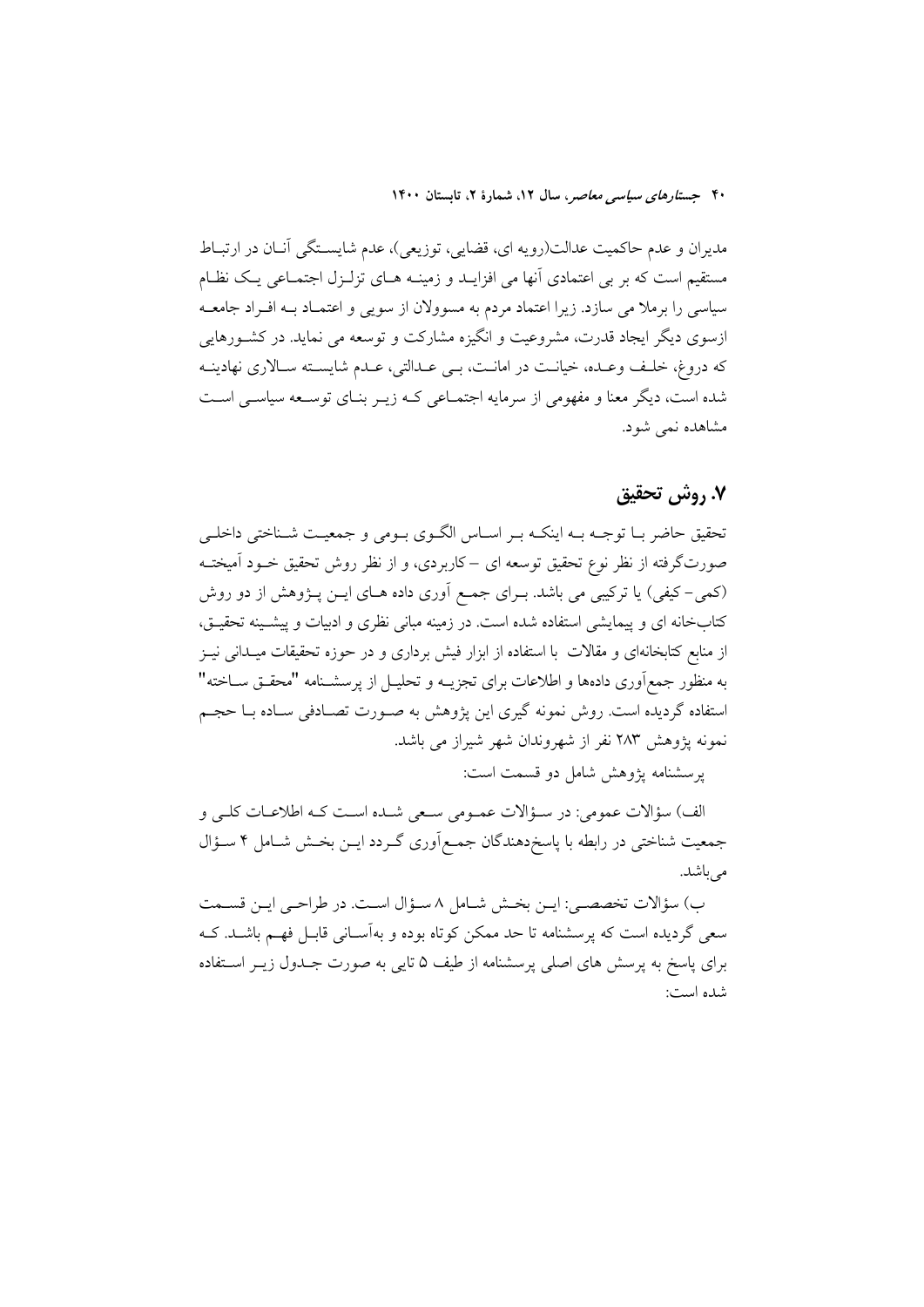مدیران و عدم حاکمیت عدالت(رویه ای، قضایی، توزیعی)، عدم شایسـتگی آنـان در ارتبـاط مستقیم است که بر بی اعتمادی آنها می افزایــد و زمینــه هــای تزلــزل اجتمــاعی یــک نظــام سیاسی را برملا می سازد. زیرا اعتماد مردم به مسوولان از سویی و اعتمـاد بـه افـراد جامعـه ازسوی دیگر ایجاد قدرت، مشروعیت و انگیزه مشارکت و توسعه می نماید. در کشـورهایی که دروغ، خلّف وعـده، خیانـت در امانـت، بـي عـدالتي، عـدم شايسـته سـالاري نهادينـه شده است، دیگر معنا و مفهومی از سرمایه اجتمـاعی کـه زیـر بنـای توسـعه سیاسـی اسـت مشاهده نمي شود.

### ٧. روش تحقيق

تحقیق حاضر بــا توجــه بــه اینکــه بــر اســاس الگــوی بــومی و جمعیــت شــناختی داخلــی صورتگرفته از نظر نوع تحقیق توسعه ای –کاربردی، و از نظر روش تحقیق خــود آمیختــه (کمی–کیفی) یا ترکیبی می باشد. بـرای جمـع اَوری داده هـای ایـن پـژوهش از دو روش کتابخانه ای و پیمایشی استفاده شده است. در زمینه مبانی نظری و ادبیات و پیشـینه تحقیـق، از منابع کتابخانهای و مقالات با استفاده از ابزار فیش برداری و در حوزه تحقیقات میــدانی نیــز به منظور جمع[وری دادهها و اطلاعات برای تجزیــه و تحلیــل از پرسشــنامه "محقــق ســاخته" استفاده گردیده است. روش نمونه گیری این پژوهش به صـورت تصـادفی سـاده بـا حجـم نمونه پژوهش ۲۸۳ نفر از شهروندان شهر شیراز می باشد.

يرسشنامه يژوهش شامل دو قسمت است:

الف) سؤالات عمومي: در سـؤالات عمـومي سـعي شـده اسـت كـه اطلاعـات كلـي و جمعیت شناختی در رابطه با پاسخدهندگان جمع|وری گـردد ایــن بخــش شــامل ۴ ســؤال می باشد.

ب) سؤالات تخصصي: ايـن بخـش شـامل ٨ سـؤال اسـت. در طراحـي ايـن قسـمت سعی گردیده است که پرسشنامه تا حد ممکن کوتاه بوده و بهآسـانی قابـل فهـم باشــد. کــه برای پاسخ به پرسش های اصلی پرسشنامه از طیف ۵ تایی به صورت جـدول زیــر اسـتفاده شده است: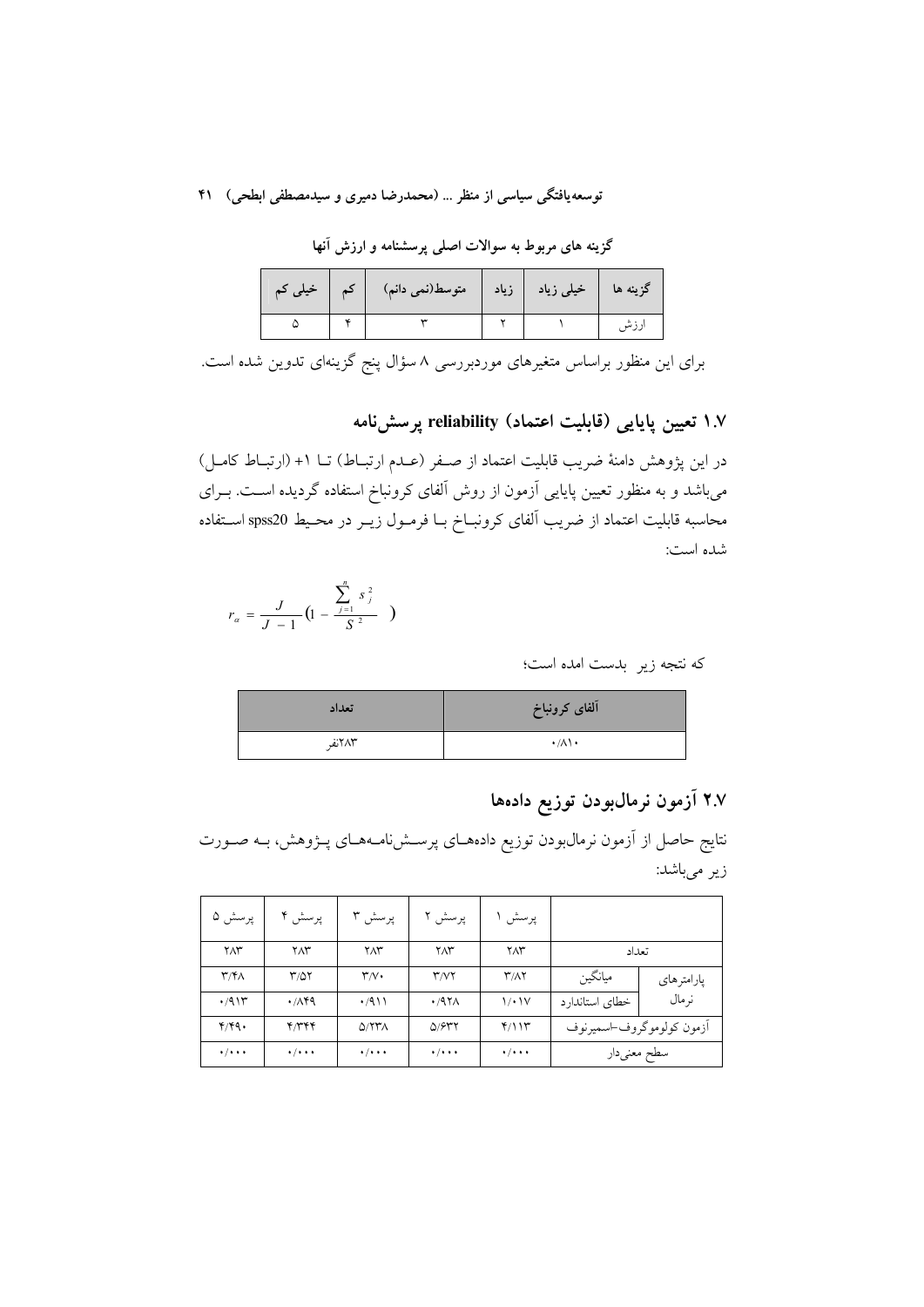گزینه های مربوط به سوالات اصلی پرسشنامه و ارزش آنها

| خیلی کم | خیلی زیاد   زیاد   متوسط(نمی دانم) |  | گزینه ها |
|---------|------------------------------------|--|----------|
|         |                                    |  |          |

برای این منظور براساس متغیرهای موردبررسی ۸ سؤال پنج گزینهای تدوین شده است.

## ۱.۷ تعیین پایایی (قابلیت اعتماد) reliability یرسشiامه

در این پژوهش دامنهٔ ضریب قابلیت اعتماد از صـفر (عـدم ارتبـاط) تــا ۱+ (ارتبــاط کامــل) میباشد و به منظور تعیین پایایی آزمون از روش آلفای کرونباخ استفاده گردیده اسـت. بــرای محاسبه قابلیت اعتماد از ضریب آلفای کرونبــاخ بــا فرمــول زیــر در محــیط spss20 اســتفاده شده است:

$$
r_{\alpha} = \frac{J}{J-1} \left(1 - \frac{\sum_{j=1}^{n} s_j^2}{S^2}\right)
$$

كه نتجه زير بدست امده است؛

| تعداد  | آلفاى كرونباخ                 |
|--------|-------------------------------|
| ۲۸۳نفر | $\cdot/\lambda\setminus\cdot$ |

## ۲.۷ آزمون نرمالبودن توزیع دادهها

نتایج حاصل از آزمون نرمالµودن توزیع دادههـای پرسـشiامـههـای پـژوهش، بـه صـورت زیر میباشد:

| پرسش ۵                      | پرسش ۴                  | پرسش ۳                          | پرسش ۲                      | پرسش                        |                           |            |
|-----------------------------|-------------------------|---------------------------------|-----------------------------|-----------------------------|---------------------------|------------|
| $Y\Lambda Y$                | ۲Λ٣                     | $Y\Lambda Y$                    | $Y\Lambda Y$                | ۲Λ٣                         |                           | تعداد      |
| $\mathbf{r}/\mathbf{r}$     | ۳/۵۲                    | $\mathsf{r}_{\mathcal{N}}\cdot$ | $\mathsf{r}$ / $\mathsf{v}$ | <b><i>T/AY</i></b>          | ميانگين                   | پارامترهاي |
| .7911                       | $\cdot$ /149            | $\cdot$ /911                    | $.47\lambda$                | 1/1V                        | خطاى استاندارد            | نر مال     |
| Y/YQ.                       | 4779                    | $Q/77\pi$                       | Q/977                       | Y/11                        | أزمون كولوموكروف-اسميرنوف |            |
| $\cdot$ / $\cdot$ + $\cdot$ | $\cdot/\cdot\cdot\cdot$ | $\cdot$ / $\cdot$ + $\cdot$     | $\cdot$ / $\cdot$ + $\cdot$ | $\cdot$ / $\cdot$ + $\cdot$ | سطح معنىدار               |            |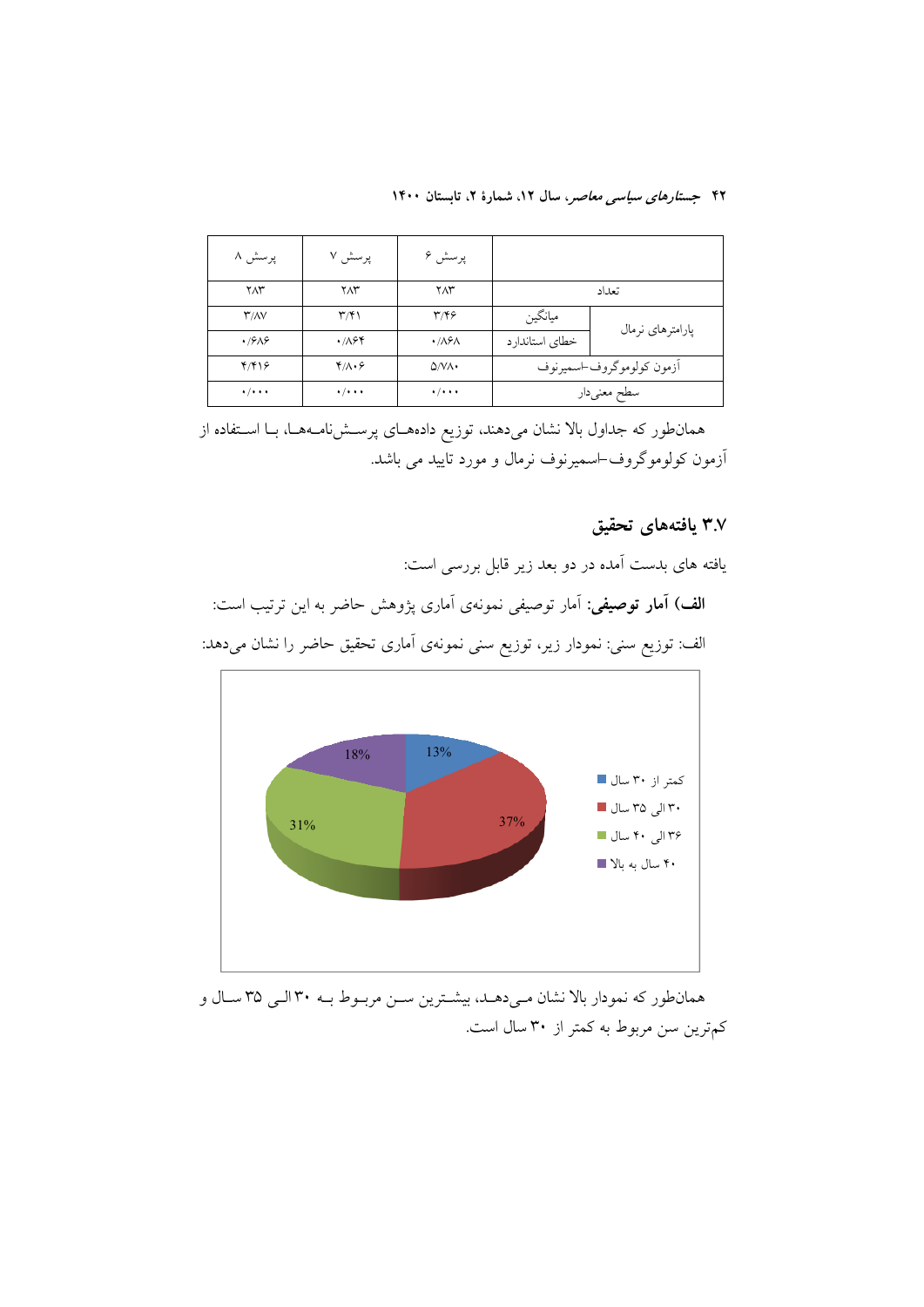| پرسش ۸                            | پرسش ۷                      | پرسش ۶                          |                           |                  |
|-----------------------------------|-----------------------------|---------------------------------|---------------------------|------------------|
| ۲۸۳                               | $Y\Lambda Y$                | $Y\Lambda Y$                    |                           | تعداد            |
| $\Upsilon/\Lambda V$              | $\mathbf{r}$                | ۳/۴۶                            | ميانگين                   | پارامترهای نرمال |
| .7989                             | .788                        | $\cdot$ / $\lambda$ ۶ $\Lambda$ | خطاي استاندارد            |                  |
| Y/Y                               | ۴/۸۰۶                       | $\Delta N \Lambda$              | أزمون كولوموكروف اسميرنوف |                  |
| $\bullet$ / $\bullet$ + $\bullet$ | $\cdot$ / $\cdot$ + $\cdot$ | $\cdot$ / $\cdot$ + $\cdot$     | سطح معنىدار               |                  |

همانطور که جداول بالا نشان میدهند، توزیع دادههای پرستشنامهها، بـا استفاده از ۔<br>آزمون کولوموگروف<sup>\_</sup>اسمیرنوف نرمال و مورد تایید می باشد.

## ۳.۷ یافتههای تحقیق

یافته های بدست آمده در دو بعد زیر قابل بررسی است:

**الف) آمار توصیفی**: آمار توصیفی نمونهی آماری پژوهش حاضر به این ترتیب است: الف: توزیع سنی: نمودار زیر، توزیع سنی نمونهی آماری تحقیق حاضر را نشان میدهد:



همانطور که نمودار بالا نشان میدهـد، بیشـترین سـن مربـوط بـه ۳۰ الـی ۳۵ سـال و کمترین سن مربوط به کمتر از ۳۰ سال است.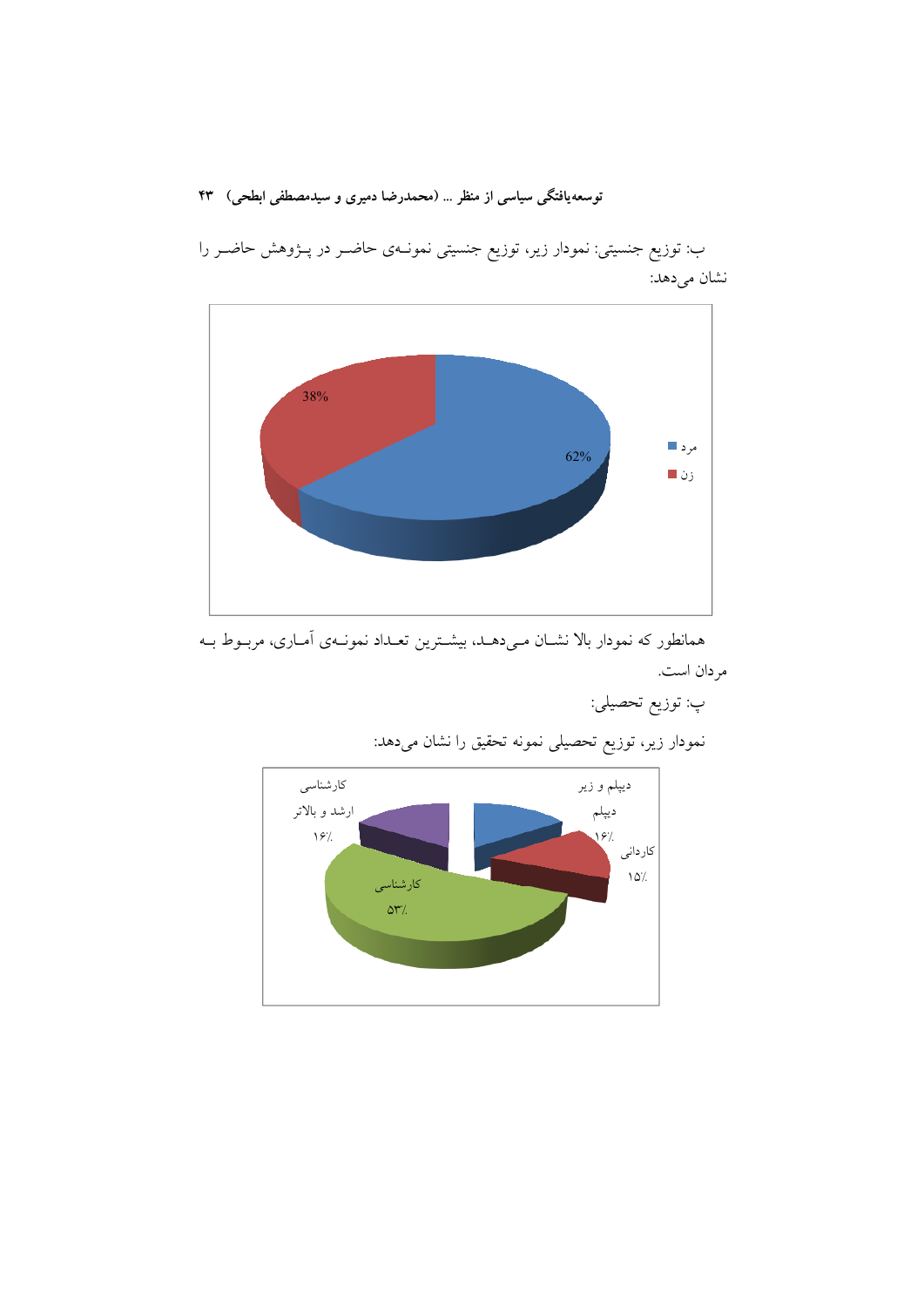

ب: توزیع جنسیتی: نمودار زیر، توزیع جنسیتی نمونـهی حاضـر در پــژوهش حاضـر را نشان مي دهد:

همانطور که نمودار بالا نشـان مـىدهـد، بيشـترين تعـداد نمونـهى أمـارى، مربـوط بـه مر دان است.

پ: توزيع تحصيلي:

نمودار زیر، توزیع تحصیلی نمونه تحقیق را نشان می<mark>دهد:</mark>

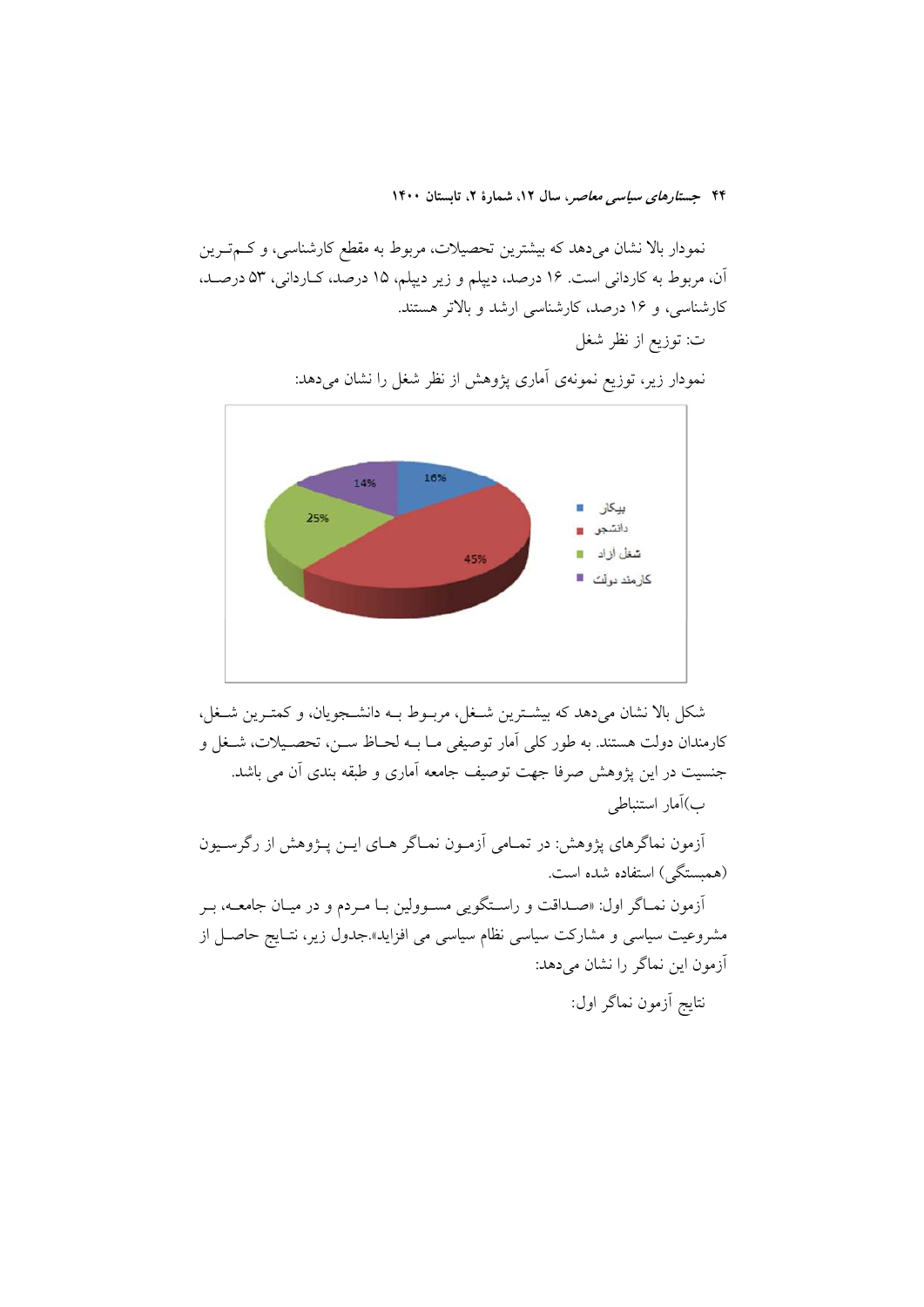نمودار بالا نشان میدهد که بیشترین تحصیلات، مربوط به مقطع کارشناسی، و کــمتــرین آن، مربوط به كارداني است. ١۶ درصد، ديپلم و زير ديپلم، ١٥ درصد، كـارداني، ٥٣ درصـد، کارشناسی، و ۱۶ درصد، کارشناسی ارشد و بالاتر هستند. ت: توزيع از نظر شغل



نمودار زیر، توزیع نمونهی آماری پژوهش از نظر شغل را نشان میدهد:

شکل بالا نشان میدهد که بیشترین شـغل، مربـوط بــه دانشــجویان، و کمتـرین شــغل، كارمندان دولت هستند. به طور كلي آمار توصيفي مــا بــه لحــاظ ســن، تحصــيلات، شــغل و جنسیت در این پژوهش صرفا جهت توصیف جامعه آماری و طبقه بندی آن می باشد. ب)آمار استنباطي

أزمون نماگرهای پژوهش: در تمـامی آزمـون نمـاگر هـای ايــن پــژوهش از رگرســيون (همبستگی) استفاده شده است. آزمون نمـاگر اول: «صـداقت و راسـتگویی مسـوولین بـا مـردم و در میـان جامعــه، بـر مشروعیت سیاسی و مشارکت سیاسی نظام سیاسی می افزاید».جدول زیر، نتـایج حاصـل از آزمون این نماگر را نشان میدهد: نتايج أزمون نماگر اول: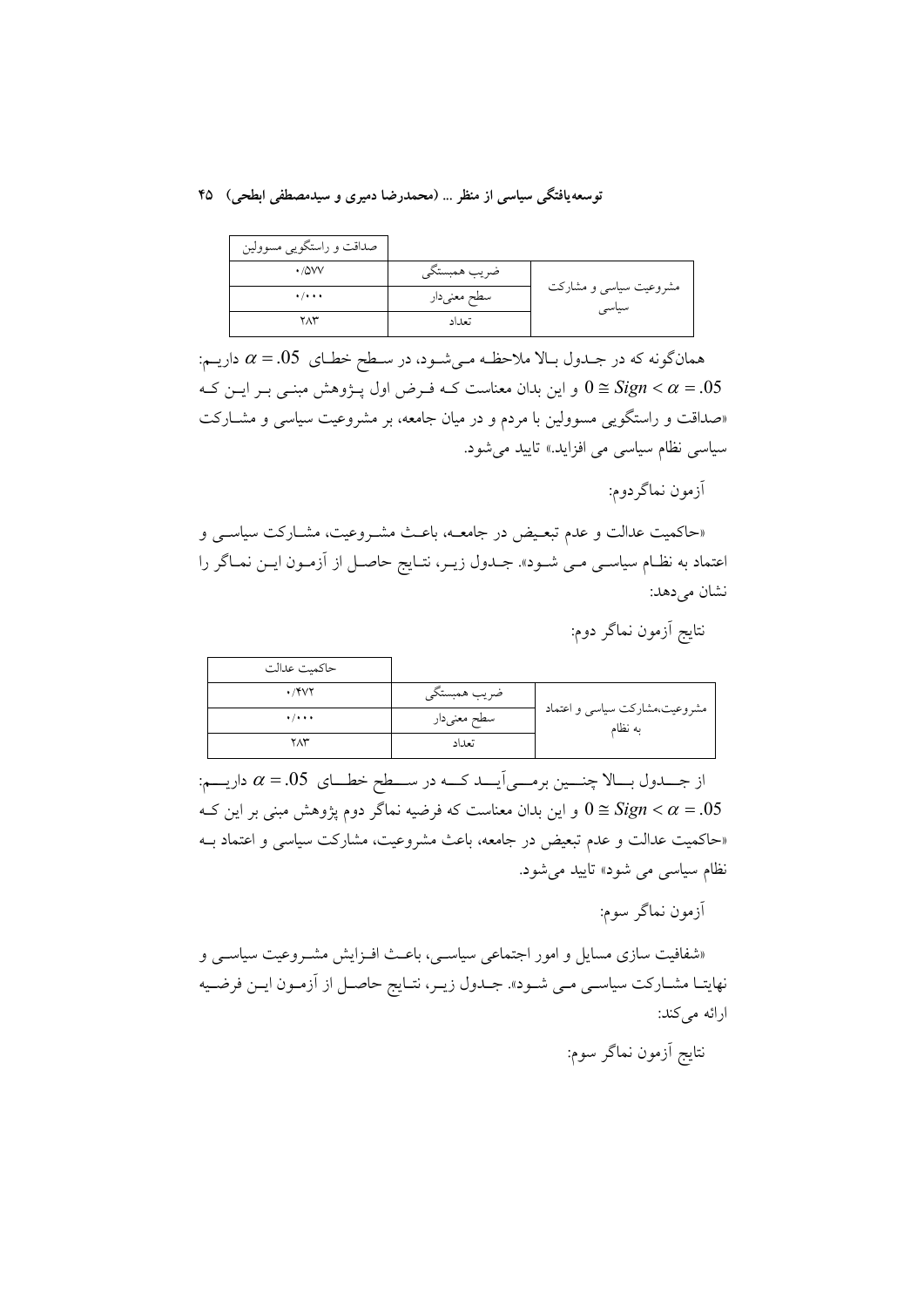| صداقت و راستگویی مسوولین    |              |                                 |
|-----------------------------|--------------|---------------------------------|
| $\cdot$ / $\Delta$ VV       | ضريب همبستگي |                                 |
| $\cdot$ / $\cdot$ + $\cdot$ | سطح معنىدار  | مشروعیت سیاسی و مشارکت<br>سیاسی |
| ۲۸۳                         | تعداد        |                                 |

همانگونه که در جـدول بـالا ملاحظـه مـیشـود، در سـطح خطـاي  $\alpha=0$ . داريـم: و این بدان معناست کـه فـرض اول پــژوهش مبنــی بــر ایــن کــه  $0 \cong Sign < \alpha = .05$ «صداقت و راستگویی مسوولین با مردم و در میان جامعه، بر مشروعیت سیاسی و مشـارکت سیاسی نظام سیاسی می افزاید.» تایید می شود.

آزمون نماگر دوم:

«حاکمیت عدالت و عدم تبعـیض در جامعــه، باعـث مشـروعیت، مشــارکت سیاســی و اعتماد به نظـام سیاسـی مـی شـود». جــدول زیــر، نتـایج حاصـل از آزمـون ایــن نمــاگر را نشان می دهد:

نتايج آزمون نماگر دوم:

| حاكميت عدالت |              |                                          |
|--------------|--------------|------------------------------------------|
| $\cdot$ /۴۷۲ | ضريب همبستگي |                                          |
| $+ / + + +$  | سطح معنىدار  | مشروعیت،مشارکت سیاسی و اعتماد<br>به نظام |
| ۲۸۳          | تعداد        |                                          |

از جـــدول بـــالا چنـــين برمـــي اَيــــد كــــه در ســـطح خطـــاي  $\alpha = .05$  داريـــم: و این بدان معناست که فرضیه نماگر دوم پژوهش مبنی بر این ک $0\cong Sign < \alpha=.05$ «حاکمیت عدالت و عدم تبعیض در جامعه، باعث مشروعیت، مشارکت سیاسی و اعتماد بـه نظام سیاس<sub>ی</sub> می شود» تایید می شود.

آزمون نماگر سوم:

«شفافیت سازی مسایل و امور اجتماعی سیاسـی، باعـث افـزایش مشـروعیت سیاسـی و نهايتـا مشـاركت سياسـي مـي شـود». جـدول زيـر، نتـايج حاصـل از أزمـون ايـن فرضـيه ارائه مي كند:

نتايج أزمون نماگر سوم: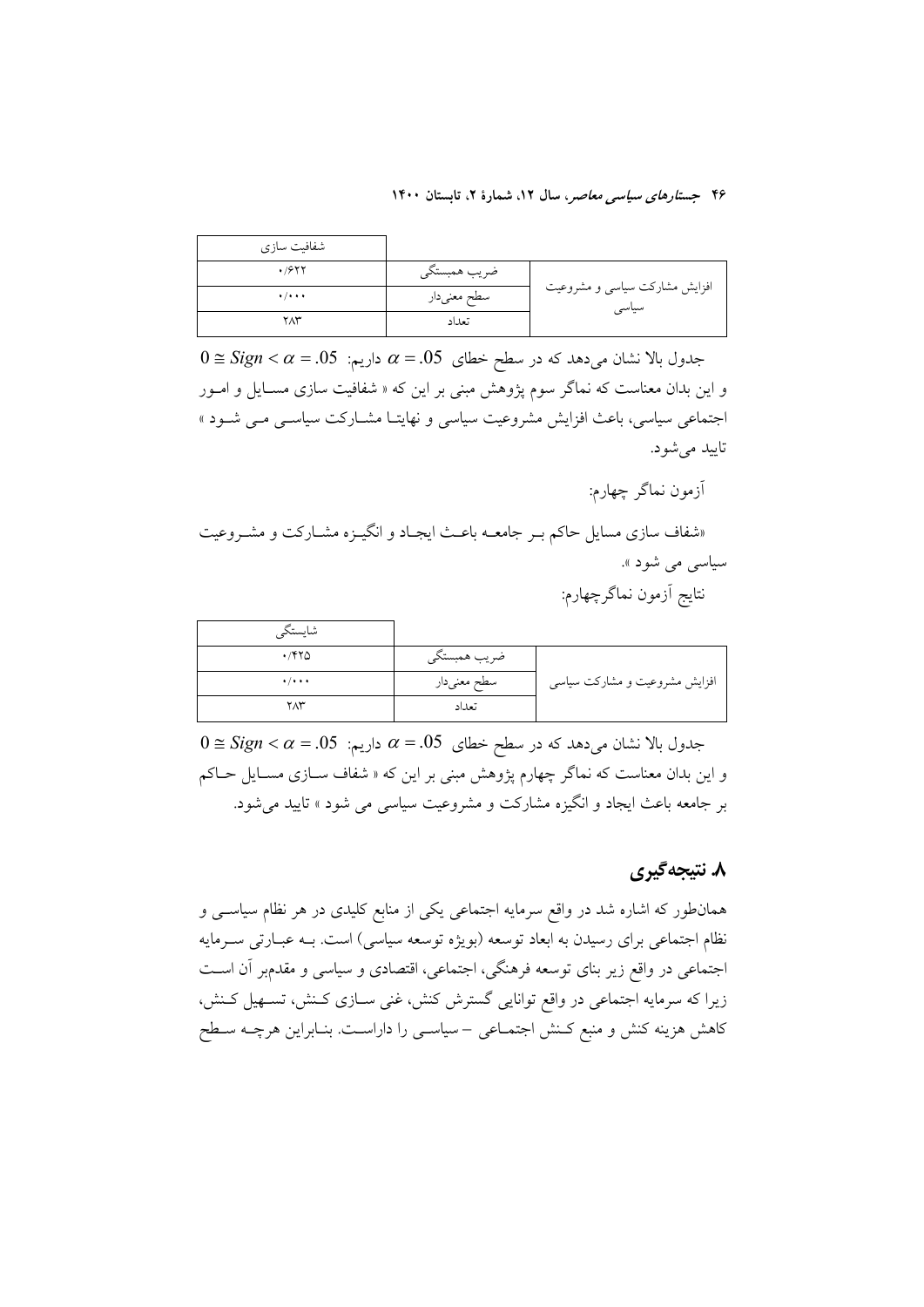| شفافیت سازی                 |              |                                        |
|-----------------------------|--------------|----------------------------------------|
| .7988                       | ضريب همبستگي |                                        |
| $\cdot$ / $\cdot$ + $\cdot$ | سطح معنىدار  | افزایش مشارکت سیاسی و مشروعیت<br>سياسى |
| ۲۸۳                         | تعداد        |                                        |

 $0 \cong Sign < \alpha = .05$  جدول بالا نشان می $\alpha$ در سطح خطای  $\alpha = .05$  داریم: و این بدان معناست که نماگر سوم پژوهش مبنی بر این که « شفافیت سازی مسـایل و امــور اجتماعی سیاسی، باعث افزایش مشروعیت سیاسی و نهایتـا مشــارکت سیاســی مــی شــود » تاييد مي شود.

آزمون نماگر چهارم:

«شفاف سازی مسایل حاکم بـر جامعــه باعـث ایجــاد و انگیــزه مشــارکت و مشــروعیت سیاسی می شود ». نتايج أزمون نماگرچهارم:

| شايستكم                     |              |                               |
|-----------------------------|--------------|-------------------------------|
| ۱٬۴۲۵                       | ضريب همبستگي |                               |
| $\cdot$ / $\cdot$ + $\cdot$ | سطح معنىدار  | افزایش مشروعیت و مشارکت سیاسی |
| $Y\Lambda Y$                | تعداد        |                               |

 $0 \cong Sign < \alpha = .05$  جدول بالا نشان می $\alpha$ هد که در سطح خطای  $\alpha = .05$  داریم: و این بدان معناست که نماگر چهارم پژوهش مبنی بر این که « شفاف ســازی مســایل حــاکم بر جامعه باعث ایجاد و انگیزه مشارکت و مشروعیت سیاسی می شود » تایید می شود.

### ۸. نتيجه گيري

همانطور که اشاره شد در واقع سرمایه اجتماعی یکی از منابع کلیدی در هر نظام سیاســی و نظام اجتماعی برای رسیدن به ابعاد توسعه (بویژه توسعه سیاسی) است. بـه عبـارتی سـرمایه اجتماعی در واقع زیر بنای توسعه فرهنگی، اجتماعی، اقتصادی و سیاسی و مقدمبر آن است زیرا که سرمایه اجتماعی در واقع توانایی گسترش کنش، غنی ســازی کــنش، تســهیل کــنش، کاهش هزینه کنش و منبع کـنش اجتمـاعی – سیاسـی را داراسـت. بنـابراین هرچــه سـطح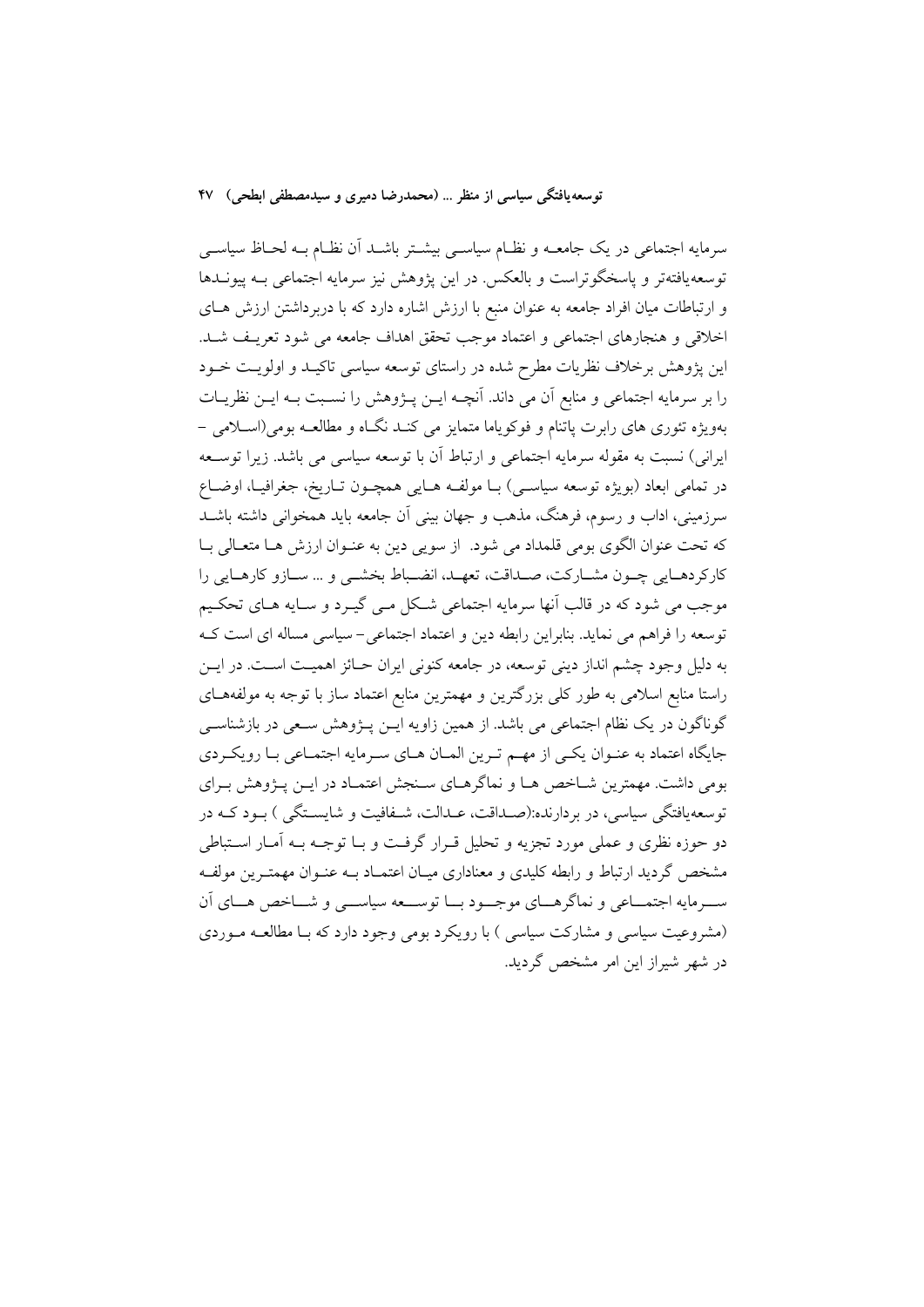سرمایه اجتماعی در یک جامعــه و نظــام سیاســی بیشــتر باشــد آن نظـام بــه لحــاظ سیاســی توسعه یافتهتر و یاسخگوتراست و بالعکس در این یژوهش نیز سرمایه اجتماعی بـه ییونــدها و ارتباطات میان افراد جامعه به عنوان منبع با ارزش اشاره دارد که با دربرداشتن ارزش هــای اخلاقی و هنجارهای اجتماعی و اعتماد موجب تحقق اهداف جامعه می شود تعریـف شـد. این پژوهش برخلاف نظریات مطرح شده در راستای توسعه سیاسی تاکیـد و اولویـت خــود را بر سرمایه اجتماعی و منابع آن می داند. آنچــه ایــن پــژوهش را نســبت بــه ایــن نظریــات بهویژه تئوری های رابرت پاتنام و فوکویاما متمایز می کنـد نگـاه و مطالعـه بومی(اسـلامی – ايراني) نسبت به مقوله سرمايه اجتماعي و ارتباط أن با توسعه سياسي مي باشد. زيرا توســعه در تمامي ابعاد (بويژه توسعه سياسـي) بــا مولفــه هــايي همچــون تــاريخ، جغرافيــا، اوضــاع سرزمینی، اداب و رسوم، فرهنگ، مذهب و جهان بینی اَن جامعه باید همخوانی داشته باشــد كه تحت عنوان الگوى بومى قلمداد مى شود. از سويى دين به عنـوان ارزش هـا متعـالى بـا كاركردهـايي چـون مشـاركت، صـداقت، تعهـد، انضـباط بخشـي و … سـازو كارهـايي را موجب می شود که در قالب آنها سرمایه اجتماعی شکل مـی گیــرد و ســایه هــای تحکــیم توسعه را فراهم می نماید. بنابراین رابطه دین و اعتماد اجتماعی-سیاسی مساله ای است ک به دلیل وجود چشم انداز دینی توسعه، در جامعه کنونی ایران حـائز اهمیـت اسـت. در ایــن راستا منابع اسلامی به طور کلی بزرگترین و مهمترین منابع اعتماد ساز با توجه به مولفههـای گوناگون در یک نظام اجتماعی می باشد. از همین زاویه ایــن پــژوهش ســعی در بازشناســی جايگاه اعتماد به عنـوان يكـي از مهـم تـرين المـان هـاي سـرمايه اجتمـاعي بـا رويكـردي بومی داشت. مهمترین شـاخص هـا و نماگرهـای سـنجش اعتمـاد در ایــن پــژوهش بـرای توسعه یافتگی سیاسی، در بردارنده:(صـداقت، عـدالت، شـفافیت و شایســتگی ) بـود کــه در دو حوزه نظري و عملي مورد تجزيه و تحليل قـرار گرفـت و بــا توجــه بــه آمــار اســتباطي مشخص گردید ارتباط و رابطه کلیدی و معناداری میـان اعتمـاد بــه عنــوان مهمتــرین مولفــه ســرمايه اجتمـــاعي و نماگرهـــاي موجـــود بـــا توســـعه سياســـي و شـــاخص هـــاي أن (مشروعیت سیاسی و مشارکت سیاسی ) با رویکرد بومی وجود دارد که بـا مطالعـه مـوردی در شهر شیراز این امر مشخص گردید.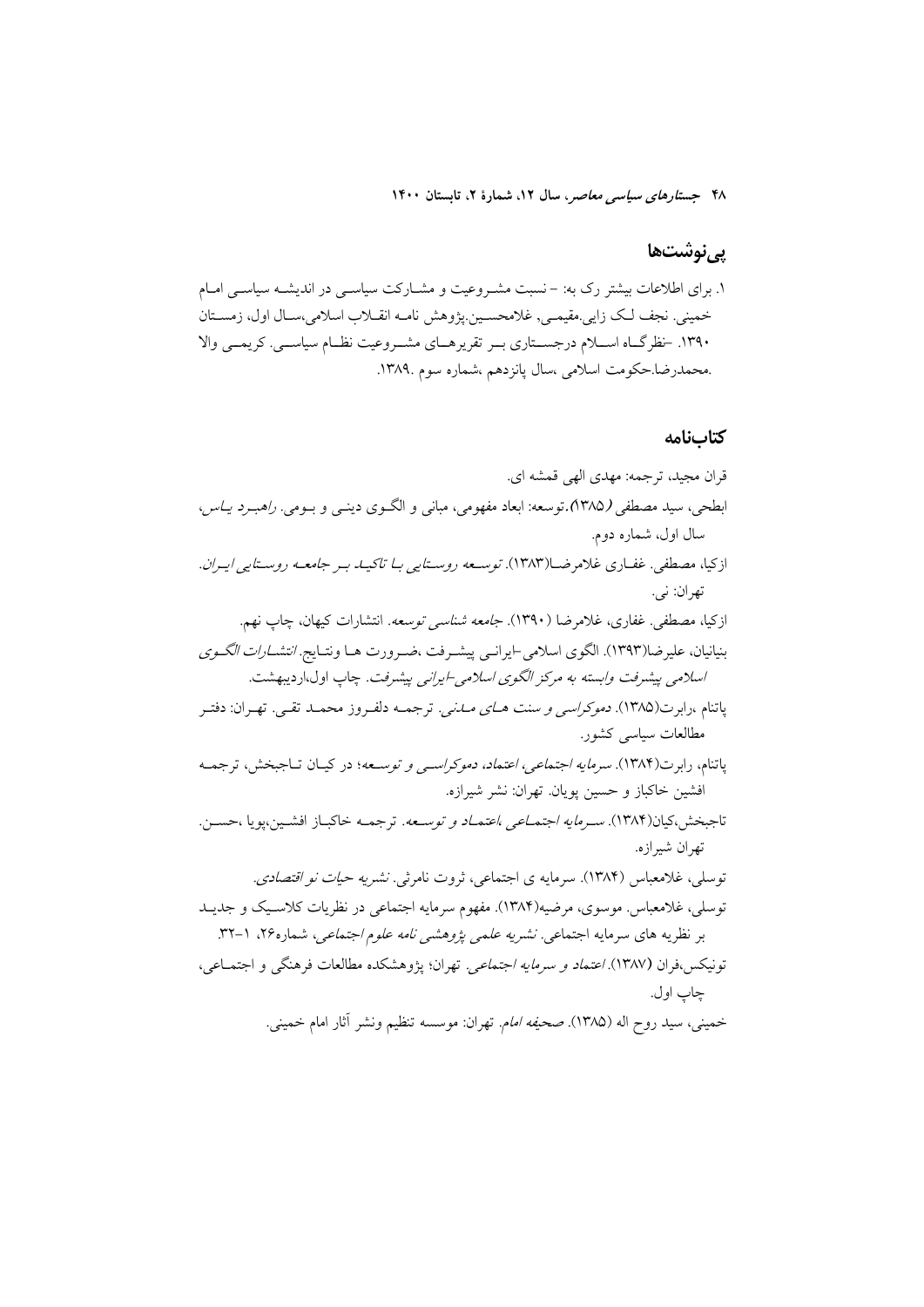#### **یے نوشتھا**

## ۱. برای اطلاعات بیشتر رک به: –نسبت مشـروعیت و مشـارکت سیاسـی در اندیشـه سیاسـی امـام خمینی. نجف لک زایی مقیمے, غلامحسین پژوهش نامـه انقــلاب اسلامی،ســال اول، زمســتان ۱۳۹۰. خظر گIه اسـلام درجسـتاري بـر تقريرهـاي مشـروعيت نظـام سياســي. كريمــي والا .محمدرضا.حکومت اسلامی ،سال یانزدهم ،شماره سوم .۱۳۸۹.

#### كتابنامه

قران مجيد، ترجمه: مهدي الهي قمشه اي. ابطحي، سيد مصطفى (١٣٨٥).توسعه: ابعاد مفهومي، مباني و الگـوي دينـي و بـومي. *راهبـرد يـاس*، سال اول، شماره دوم. از کیا، مصطفی. غفـاری غلامرضـا(۱۳۸۳). توسـعه روسـتایی بـا تاکیــد بـر جامعــه روسـتایی ایـران. تهران: ني. ازكيا، مصطفى. غفاري، غلام ضا (١٣٩٠). *جامعه شناسي توسعه*. انتشارات كيهان، جاب نهم. بنیانیان، علیرضا(۱۳۹۳). الگوی اسلامی−ایرانـی پیشـرفت ،ضـرورت هـا ونتـایج. *انتشـارات الگـوی* اسلامي پيشرفت وابسته به مركز الگوي اسلامي-ايراني پيشرفت. چاپ اول،ارديبهشت. ياتنام ،رابرت(١٣٨۵). *دموكراسي و سنت هـــاي مـــاني.* ترجمــه دلفــروز محمــد تقــي. تهــران: دفتــر مطالعات سیاسی کشور. ياتنام، رابرت(۱۳۸۴). *سرمايه اجتماعي، اعتماد، دموكراسي و توسـعه*؛ در كيـان تــاجبخش، ترجمــه افشين خاكباز و حسين يويان. تهران: نشر شيرازه. تاجبخش،کیان(۱۳۸۴). *سـرمایه اجتمـاعی ،اعتمـاد و توسـعه*. ترجمـه خاکبـاز افشـین،پویا ،حسـن. تهران شيرازه. توسلی، غلامعباس (۱۳۸۴). سرمایه ی اجتماعی، ثروت نامرثی. *نشریه حیات نو اقتصادی.* توسلی، غلامعباس ِ موسوی، مرضیه(۱۳۸۴). مفهوم سرمایه اجتماعی در نظریات کلاسـیک و جدیـد بر نظریه های سرمایه اجتماعی *نشریه علمی پژوهشی نامه علوم اجتماعی،* شماره۲۶، ۱-۳۲. تونيكس،فوان (١٣٨٧). اعتم*اد و سرمايه اجتماعي.* تهران؛ يژوهشكده مطالعات فرهنگي و اجتمـاعي، چاپ اول. خميني، سيد روح اله (١٣٨۵). صحي*فه امام*. تهران: موسسه تنظيم ونشر آثار امام خميني.